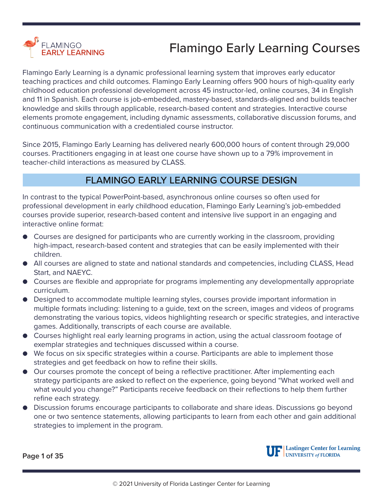

Flamingo Early Learning is a dynamic professional learning system that improves early educator teaching practices and child outcomes. Flamingo Early Learning offers 900 hours of high-quality early childhood education professional development across 45 instructor-led, online courses, 34 in English and 11 in Spanish. Each course is job-embedded, mastery-based, standards-aligned and builds teacher knowledge and skills through applicable, research-based content and strategies. Interactive course elements promote engagement, including dynamic assessments, collaborative discussion forums, and continuous communication with a credentialed course instructor.

Since 2015, Flamingo Early Learning has delivered nearly 600,000 hours of content through 29,000 courses. Practitioners engaging in at least one course have shown up to a 79% improvement in teacher-child interactions as measured by CLASS.

#### FLAMINGO EARLY LEARNING COURSE DESIGN

In contrast to the typical PowerPoint-based, asynchronous online courses so often used for professional development in early childhood education, Flamingo Early Learning's job-embedded courses provide superior, research-based content and intensive live support in an engaging and interactive online format:

- Courses are designed for participants who are currently working in the classroom, providing high-impact, research-based content and strategies that can be easily implemented with their children.
- All courses are aligned to state and national standards and competencies, including CLASS, Head Start, and NAEYC.
- Courses are flexible and appropriate for programs implementing any developmentally appropriate curriculum.
- Designed to accommodate multiple learning styles, courses provide important information in multiple formats including: listening to a guide, text on the screen, images and videos of programs demonstrating the various topics, videos highlighting research or specific strategies, and interactive games. Additionally, transcripts of each course are available.
- Courses highlight real early learning programs in action, using the actual classroom footage of exemplar strategies and techniques discussed within a course.
- We focus on six specific strategies within a course. Participants are able to implement those strategies and get feedback on how to refine their skills.
- Our courses promote the concept of being a reflective practitioner. After implementing each strategy participants are asked to reflect on the experience, going beyond "What worked well and what would you change?" Participants receive feedback on their reflections to help them further refine each strategy.
- Discussion forums encourage participants to collaborate and share ideas. Discussions go beyond one or two sentence statements, allowing participants to learn from each other and gain additional strategies to implement in the program.

**Page 1 of 35**

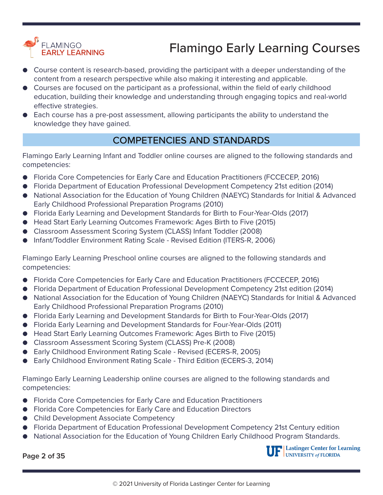

- Course content is research-based, providing the participant with a deeper understanding of the content from a research perspective while also making it interesting and applicable.
- Courses are focused on the participant as a professional, within the field of early childhood education, building their knowledge and understanding through engaging topics and real-world effective strategies.
- Each course has a pre-post assessment, allowing participants the ability to understand the knowledge they have gained.

#### COMPETENCIES AND STANDARDS

Flamingo Early Learning Infant and Toddler online courses are aligned to the following standards and competencies:

- Florida Core Competencies for Early Care and Education Practitioners (FCCECEP, 2016)
- Florida Department of Education Professional Development Competency 21st edition (2014)
- National Association for the Education of Young Children (NAEYC) Standards for Initial & Advanced Early Childhood Professional Preparation Programs (2010)
- Florida Early Learning and Development Standards for Birth to Four-Year-Olds (2017)
- Head Start Early Learning Outcomes Framework: Ages Birth to Five (2015)
- Classroom Assessment Scoring System (CLASS) Infant Toddler (2008)
- Infant/Toddler Environment Rating Scale Revised Edition (ITERS-R, 2006)

Flamingo Early Learning Preschool online courses are aligned to the following standards and competencies:

- Florida Core Competencies for Early Care and Education Practitioners (FCCECEP, 2016)
- Florida Department of Education Professional Development Competency 21st edition (2014)
- National Association for the Education of Young Children (NAEYC) Standards for Initial & Advanced Early Childhood Professional Preparation Programs (2010)
- Florida Early Learning and Development Standards for Birth to Four-Year-Olds (2017)
- Florida Early Learning and Development Standards for Four-Year-Olds (2011)
- Head Start Early Learning Outcomes Framework: Ages Birth to Five (2015)
- Classroom Assessment Scoring System (CLASS) Pre-K (2008)
- Early Childhood Environment Rating Scale Revised (ECERS-R, 2005)
- Early Childhood Environment Rating Scale Third Edition (ECERS-3, 2014)

Flamingo Early Learning Leadership online courses are aligned to the following standards and competencies:

- Florida Core Competencies for Early Care and Education Practitioners
- Florida Core Competencies for Early Care and Education Directors
- Child Development Associate Competency
- Florida Department of Education Professional Development Competency 21st Century edition
- National Association for the Education of Young Children Early Childhood Program Standards.

**Page 2 of 35**

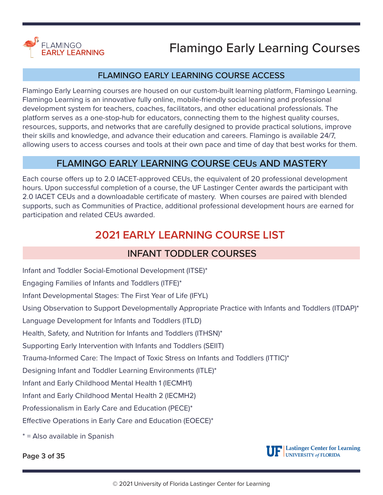

#### FLAMINGO EARLY LEARNING COURSE ACCESS

Flamingo Early Learning courses are housed on our custom-built learning platform, Flamingo Learning. Flamingo Learning is an innovative fully online, mobile-friendly social learning and professional development system for teachers, coaches, facilitators, and other educational professionals. The platform serves as a one-stop-hub for educators, connecting them to the highest quality courses, resources, supports, and networks that are carefully designed to provide practical solutions, improve their skills and knowledge, and advance their education and careers. Flamingo is available 24/7, allowing users to access courses and tools at their own pace and time of day that best works for them.

#### FLAMINGO EARLY LEARNING COURSE CEUs AND MASTERY

Each course offers up to 2.0 IACET-approved CEUs, the equivalent of 20 professional development hours. Upon successful completion of a course, the UF Lastinger Center awards the participant with 2.0 IACET CEUs and a downloadable certificate of mastery. When courses are paired with blended supports, such as Communities of Practice, additional professional development hours are earned for participation and related CEUs awarded.

#### **2021 EARLY LEARNING COURSE LIST**

#### INFANT TODDLER COURSES

[Infant and Toddler Social-Emotional Development \(ITSE\)\\*](#page-4-0) [Engaging Families of Infants and Toddlers \(ITFE\)\\*](#page-4-0) [Infant Developmental Stages: The First Year of Life \(IFYL\)](#page-5-0) [Using Observation to Support Developmentally Appropriate Practice with Infants and Toddlers \(ITDAP\)\\*](#page-6-0) [Language Development for Infants and Toddlers \(ITLD\)](#page-6-0) [Health, Safety, and Nutrition for Infants and Toddlers \(ITHSN\)\\*](#page-8-0) [Supporting Early Intervention with Infants and Toddlers \(SEIIT\)](#page-9-0) [Trauma-Informed Care: The Impact of Toxic Stress on Infants and Toddlers \(ITTIC\)\\*](#page-10-0)  [Designing Infant and Toddler Learning Environments \(ITLE\)\\*](#page-10-0) [Infant and Early Childhood Mental Health 1 \(IECMH1\)](#page-11-0) [Infant and Early Childhood Mental Health 2 \(IECMH2\)](#page-12-0) [Professionalism in Early Care and Education \(PECE\)\\*](#page-13-0) [Effective Operations in Early Care and Education \(EOECE\)\\*](#page-14-0) \* = Also available in Spanish

**Page 3 of 35**



UF Lastinger Center for Learning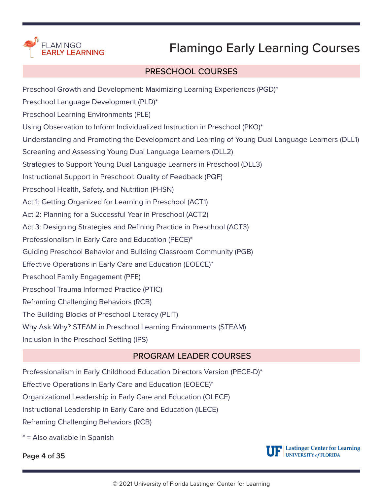

#### PRESCHOOL COURSES

[Preschool Growth and Development: Maximizing Learning Experiences \(PGD\)\\*](#page-15-0) [Preschool Language Development \(PLD\)\\*](#page-15-0) [Preschool Learning Environments \(PLE\)](#page-15-0) [Using Observation to Inform Individualized Instruction in Preschool \(PKO\)\\*](#page-16-0) [Understanding and Promoting the Development and Learning of Young Dual Language Learners \(DLL1\)](#page-16-0) [Screening and Assessing Young Dual Language Learners \(DLL2\)](#page-17-0) [Strategies to Support Young Dual Language Learners in Preschool \(DLL3\)](#page-18-0) [Instructional Support in Preschool: Quality of Feedback \(PQF\)](#page-18-0) [Preschool Health, Safety, and Nutrition \(PHSN\)](#page-19-0) [Act 1: Getting Organized for Learning in Preschool \(ACT1\)](#page-19-0) [Act 2: Planning for a Successful Year in Preschool \(ACT2\)](#page-20-0) [Act 3: Designing Strategies and Refining Practice in Preschool \(ACT3\)](#page-21-0) [Professionalism in Early Care and Education \(PECE\)\\*](#page-22-0) [Guiding Preschool Behavior and Building Classroom Community \(PGB\)](#page-22-0) [Effective Operations in Early Care and Education \(EOECE\)\\*](#page-23-0) [Preschool Family Engagement \(PFE\)](#page-24-0) [Preschool Trauma Informed Practice \(PTIC\)](#page-25-0) [Reframing Challenging Behaviors \(RCB\)](#page-26-0) [The Building Blocks of Preschool Literacy \(PLIT\)](#page-27-0) [Why Ask Why? STEAM in Preschool Learning Environments \(STEAM\)](#page-28-0) [Inclusion in the Preschool Setting \(IPS\)](#page-29-0)

#### PROGRAM LEADER COURSES

[Professionalism in Early Childhood Education Directors Version \(PECE-D\)\\*](#page-30-0) [Effective Operations in Early Care and Education \(EOECE\)\\*](#page-31-0) [Organizational Leadership in Early Care and Education \(OLECE\)](#page-32-0) [Instructional Leadership in Early Care and Education \(ILECE\)](#page-33-0)

[Reframing Challenging Behaviors \(RCB\)](#page-34-0)

\* = Also available in Spanish

**Page 4 of 35**

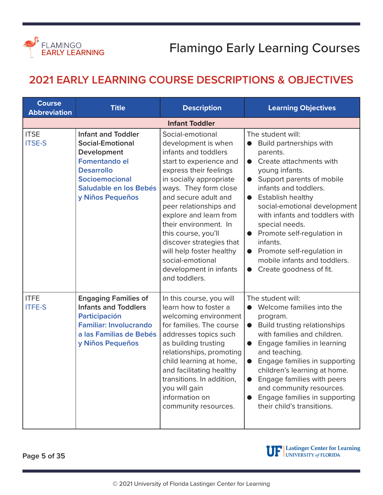<span id="page-4-0"></span>

#### **2021 EARLY LEARNING COURSE DESCRIPTIONS & OBJECTIVES**

| <b>Course</b><br><b>Abbreviation</b> | <b>Title</b>                                                                                                                                                                     | <b>Description</b>                                                                                                                                                                                                                                                                                                                                                                                                          | <b>Learning Objectives</b>                                                                                                                                                                                                                                                                                                                                                                                                                                                                                |
|--------------------------------------|----------------------------------------------------------------------------------------------------------------------------------------------------------------------------------|-----------------------------------------------------------------------------------------------------------------------------------------------------------------------------------------------------------------------------------------------------------------------------------------------------------------------------------------------------------------------------------------------------------------------------|-----------------------------------------------------------------------------------------------------------------------------------------------------------------------------------------------------------------------------------------------------------------------------------------------------------------------------------------------------------------------------------------------------------------------------------------------------------------------------------------------------------|
|                                      |                                                                                                                                                                                  | <b>Infant Toddler</b>                                                                                                                                                                                                                                                                                                                                                                                                       |                                                                                                                                                                                                                                                                                                                                                                                                                                                                                                           |
| <b>ITSE</b><br><b>ITSE-S</b>         | <b>Infant and Toddler</b><br><b>Social-Emotional</b><br>Development<br><b>Fomentando el</b><br><b>Desarrollo</b><br>Socioemocional<br>Saludable en los Bebés<br>y Niños Pequeños | Social-emotional<br>development is when<br>infants and toddlers<br>start to experience and<br>express their feelings<br>in socially appropriate<br>ways. They form close<br>and secure adult and<br>peer relationships and<br>explore and learn from<br>their environment. In<br>this course, you'll<br>discover strategies that<br>will help foster healthy<br>social-emotional<br>development in infants<br>and toddlers. | The student will:<br>Build partnerships with<br>$\bullet$<br>parents.<br>Create attachments with<br>$\bullet$<br>young infants.<br>Support parents of mobile<br>$\bullet$<br>infants and toddlers.<br><b>Establish healthy</b><br>$\bullet$<br>social-emotional development<br>with infants and toddlers with<br>special needs.<br>Promote self-regulation in<br>$\bullet$<br>infants.<br>Promote self-regulation in<br>$\bullet$<br>mobile infants and toddlers.<br>Create goodness of fit.<br>$\bullet$ |
| <b>ITFE</b><br><b>ITFE-S</b>         | <b>Engaging Families of</b><br><b>Infants and Toddlers</b><br>Participación<br><b>Familiar: Involucrando</b><br>a las Familias de Bebés<br>y Niños Pequeños                      | In this course, you will<br>learn how to foster a<br>welcoming environment<br>for families. The course<br>addresses topics such<br>as building trusting<br>relationships, promoting<br>child learning at home,<br>and facilitating healthy<br>transitions. In addition,<br>you will gain<br>information on<br>community resources.                                                                                          | The student will:<br>Welcome families into the<br>$\bullet$<br>program.<br><b>Build trusting relationships</b><br>$\bullet$<br>with families and children.<br>Engage families in learning<br>$\bullet$<br>and teaching.<br>Engage families in supporting<br>$\bullet$<br>children's learning at home.<br>Engage families with peers<br>and community resources.<br>Engage families in supporting<br>$\bullet$<br>their child's transitions.                                                               |

**Page 5 of 35**



UP Lastinger Center for Learning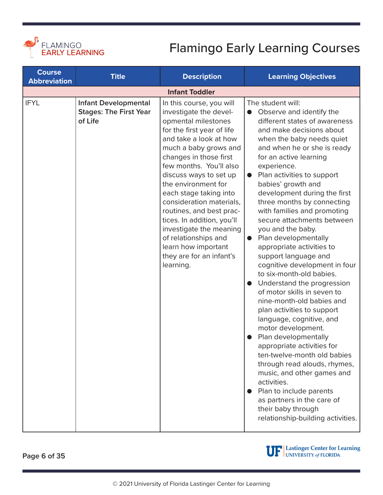<span id="page-5-0"></span>

| <b>Course</b><br><b>Abbreviation</b> | <b>Title</b>                                                            | <b>Description</b>                                                                                                                                                                                                                                                                                                                                                                                                                                                                                  | <b>Learning Objectives</b>                                                                                                                                                                                                                                                                                                                                                                                                                                                                                                                                                                                                                                                                                                                                                                                                                                                                                                                                                                                                                 |
|--------------------------------------|-------------------------------------------------------------------------|-----------------------------------------------------------------------------------------------------------------------------------------------------------------------------------------------------------------------------------------------------------------------------------------------------------------------------------------------------------------------------------------------------------------------------------------------------------------------------------------------------|--------------------------------------------------------------------------------------------------------------------------------------------------------------------------------------------------------------------------------------------------------------------------------------------------------------------------------------------------------------------------------------------------------------------------------------------------------------------------------------------------------------------------------------------------------------------------------------------------------------------------------------------------------------------------------------------------------------------------------------------------------------------------------------------------------------------------------------------------------------------------------------------------------------------------------------------------------------------------------------------------------------------------------------------|
|                                      |                                                                         | <b>Infant Toddler</b>                                                                                                                                                                                                                                                                                                                                                                                                                                                                               |                                                                                                                                                                                                                                                                                                                                                                                                                                                                                                                                                                                                                                                                                                                                                                                                                                                                                                                                                                                                                                            |
| <b>IFYL</b>                          | <b>Infant Developmental</b><br><b>Stages: The First Year</b><br>of Life | In this course, you will<br>investigate the devel-<br>opmental milestones<br>for the first year of life<br>and take a look at how<br>much a baby grows and<br>changes in those first<br>few months. You'll also<br>discuss ways to set up<br>the environment for<br>each stage taking into<br>consideration materials,<br>routines, and best prac-<br>tices. In addition, you'll<br>investigate the meaning<br>of relationships and<br>learn how important<br>they are for an infant's<br>learning. | The student will:<br>Observe and identify the<br>different states of awareness<br>and make decisions about<br>when the baby needs quiet<br>and when he or she is ready<br>for an active learning<br>experience.<br>Plan activities to support<br>babies' growth and<br>development during the first<br>three months by connecting<br>with families and promoting<br>secure attachments between<br>you and the baby.<br>Plan developmentally<br>$\bullet$<br>appropriate activities to<br>support language and<br>cognitive development in four<br>to six-month-old babies.<br>Understand the progression<br>of motor skills in seven to<br>nine-month-old babies and<br>plan activities to support<br>language, cognitive, and<br>motor development.<br>Plan developmentally<br>appropriate activities for<br>ten-twelve-month old babies<br>through read alouds, rhymes,<br>music, and other games and<br>activities.<br>Plan to include parents<br>as partners in the care of<br>their baby through<br>relationship-building activities. |

**Page 6 of 35**

UP Lastinger Center for Learning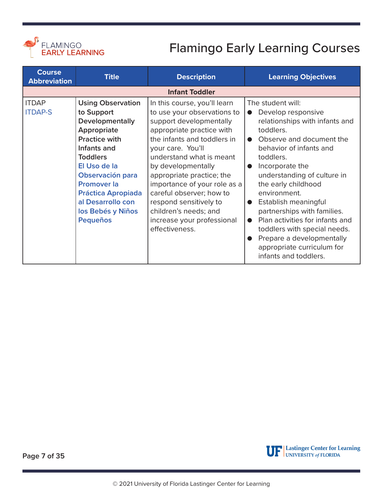<span id="page-6-0"></span>

| <b>Course</b><br><b>Abbreviation</b> | <b>Title</b>                                                                                                                                                                                                                                                                           | <b>Description</b>                                                                                                                                                                                                                                                                                                                                                                                                    | <b>Learning Objectives</b>                                                                                                                                                                                                                                                                                                                                                                                                                                                                                            |
|--------------------------------------|----------------------------------------------------------------------------------------------------------------------------------------------------------------------------------------------------------------------------------------------------------------------------------------|-----------------------------------------------------------------------------------------------------------------------------------------------------------------------------------------------------------------------------------------------------------------------------------------------------------------------------------------------------------------------------------------------------------------------|-----------------------------------------------------------------------------------------------------------------------------------------------------------------------------------------------------------------------------------------------------------------------------------------------------------------------------------------------------------------------------------------------------------------------------------------------------------------------------------------------------------------------|
|                                      |                                                                                                                                                                                                                                                                                        | <b>Infant Toddler</b>                                                                                                                                                                                                                                                                                                                                                                                                 |                                                                                                                                                                                                                                                                                                                                                                                                                                                                                                                       |
| <b>ITDAP</b><br><b>ITDAP-S</b>       | <b>Using Observation</b><br>to Support<br>Developmentally<br>Appropriate<br><b>Practice with</b><br>Infants and<br><b>Toddlers</b><br>El Uso de la<br>Observación para<br><b>Promover la</b><br><b>Práctica Apropiada</b><br>al Desarrollo con<br>los Bebés y Niños<br><b>Pequeños</b> | In this course, you'll learn<br>to use your observations to<br>support developmentally<br>appropriate practice with<br>the infants and toddlers in<br>your care. You'll<br>understand what is meant<br>by developmentally<br>appropriate practice; the<br>importance of your role as a<br>careful observer; how to<br>respond sensitively to<br>children's needs; and<br>increase your professional<br>effectiveness. | The student will:<br>Develop responsive<br>$\bullet$<br>relationships with infants and<br>toddlers.<br>Observe and document the<br>behavior of infants and<br>toddlers.<br>Incorporate the<br>$\bullet$<br>understanding of culture in<br>the early childhood<br>environment.<br>Establish meaningful<br>$\bullet$<br>partnerships with families.<br>Plan activities for infants and<br>$\bullet$<br>toddlers with special needs.<br>Prepare a developmentally<br>appropriate curriculum for<br>infants and toddlers. |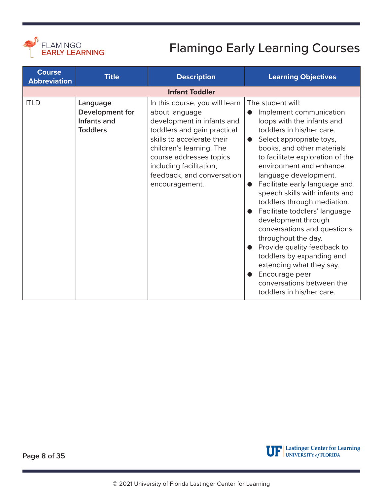

| <b>Course</b><br><b>Abbreviation</b> | <b>Title</b>                                                  | <b>Description</b>                                                                                                                                                                                                                                                            | <b>Learning Objectives</b>                                                                                                                                                                                                                                                                                                                                                                                                                                                                                                                                                                                                                         |
|--------------------------------------|---------------------------------------------------------------|-------------------------------------------------------------------------------------------------------------------------------------------------------------------------------------------------------------------------------------------------------------------------------|----------------------------------------------------------------------------------------------------------------------------------------------------------------------------------------------------------------------------------------------------------------------------------------------------------------------------------------------------------------------------------------------------------------------------------------------------------------------------------------------------------------------------------------------------------------------------------------------------------------------------------------------------|
|                                      |                                                               | <b>Infant Toddler</b>                                                                                                                                                                                                                                                         |                                                                                                                                                                                                                                                                                                                                                                                                                                                                                                                                                                                                                                                    |
| <b>ITLD</b>                          | Language<br>Development for<br>Infants and<br><b>Toddlers</b> | In this course, you will learn<br>about language<br>development in infants and<br>toddlers and gain practical<br>skills to accelerate their<br>children's learning. The<br>course addresses topics<br>including facilitation,<br>feedback, and conversation<br>encouragement. | The student will:<br>Implement communication<br>●<br>loops with the infants and<br>toddlers in his/her care.<br>Select appropriate toys,<br>books, and other materials<br>to facilitate exploration of the<br>environment and enhance<br>language development.<br>Facilitate early language and<br>speech skills with infants and<br>toddlers through mediation.<br>Facilitate toddlers' language<br>development through<br>conversations and questions<br>throughout the day.<br>Provide quality feedback to<br>toddlers by expanding and<br>extending what they say.<br>Encourage peer<br>conversations between the<br>toddlers in his/her care. |

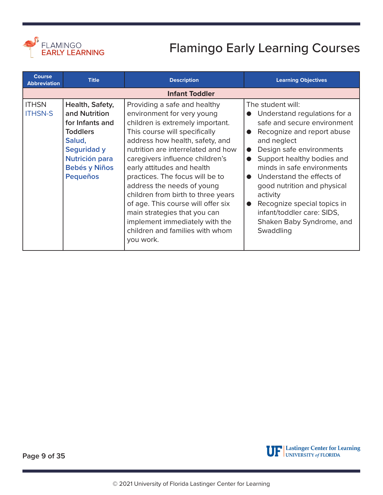<span id="page-8-0"></span>

| <b>Course</b><br><b>Abbreviation</b> | <b>Title</b>                                                                                                                                                        | <b>Description</b>                                                                                                                                                                                                                                                                                                                                                                                                                                                                                                                       | <b>Learning Objectives</b>                                                                                                                                                                                                                                                                                                                                                                                                                                            |
|--------------------------------------|---------------------------------------------------------------------------------------------------------------------------------------------------------------------|------------------------------------------------------------------------------------------------------------------------------------------------------------------------------------------------------------------------------------------------------------------------------------------------------------------------------------------------------------------------------------------------------------------------------------------------------------------------------------------------------------------------------------------|-----------------------------------------------------------------------------------------------------------------------------------------------------------------------------------------------------------------------------------------------------------------------------------------------------------------------------------------------------------------------------------------------------------------------------------------------------------------------|
|                                      |                                                                                                                                                                     | <b>Infant Toddler</b>                                                                                                                                                                                                                                                                                                                                                                                                                                                                                                                    |                                                                                                                                                                                                                                                                                                                                                                                                                                                                       |
| <b>ITHSN</b><br><b>ITHSN-S</b>       | Health, Safety,<br>and Nutrition<br>for Infants and<br><b>Toddlers</b><br>Salud,<br><b>Seguridad y</b><br>Nutrición para<br><b>Bebés y Niños</b><br><b>Pequeños</b> | Providing a safe and healthy<br>environment for very young<br>children is extremely important.<br>This course will specifically<br>address how health, safety, and<br>nutrition are interrelated and how<br>caregivers influence children's<br>early attitudes and health<br>practices. The focus will be to<br>address the needs of young<br>children from birth to three years<br>of age. This course will offer six<br>main strategies that you can<br>implement immediately with the<br>children and families with whom<br>you work. | The student will:<br>Understand regulations for a<br>safe and secure environment<br>Recognize and report abuse<br>$\bullet$<br>and neglect<br>Design safe environments<br>$\bullet$<br>Support healthy bodies and<br>$\bullet$<br>minds in safe environments<br>Understand the effects of<br>$\bullet$<br>good nutrition and physical<br>activity<br>Recognize special topics in<br>$\bullet$<br>infant/toddler care: SIDS,<br>Shaken Baby Syndrome, and<br>Swaddling |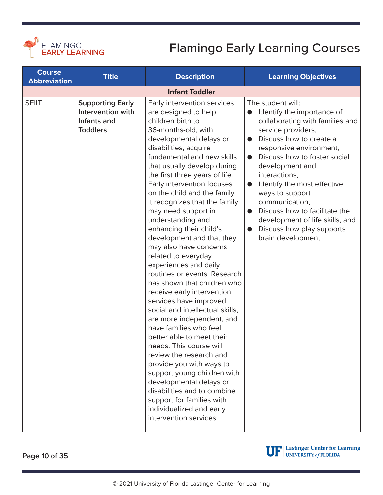<span id="page-9-0"></span>

| <b>Course</b><br><b>Abbreviation</b> | <b>Title</b>                                                                   | <b>Description</b>                                                                                                                                                                                                                                                                                                                                                                                                                                                                                                                                                                                                                                                                                                                                                                                                                                                                                                                                                                                                                          | <b>Learning Objectives</b>                                                                                                                                                                                                                                                                                                                                                                                                                                                                     |
|--------------------------------------|--------------------------------------------------------------------------------|---------------------------------------------------------------------------------------------------------------------------------------------------------------------------------------------------------------------------------------------------------------------------------------------------------------------------------------------------------------------------------------------------------------------------------------------------------------------------------------------------------------------------------------------------------------------------------------------------------------------------------------------------------------------------------------------------------------------------------------------------------------------------------------------------------------------------------------------------------------------------------------------------------------------------------------------------------------------------------------------------------------------------------------------|------------------------------------------------------------------------------------------------------------------------------------------------------------------------------------------------------------------------------------------------------------------------------------------------------------------------------------------------------------------------------------------------------------------------------------------------------------------------------------------------|
|                                      |                                                                                | <b>Infant Toddler</b>                                                                                                                                                                                                                                                                                                                                                                                                                                                                                                                                                                                                                                                                                                                                                                                                                                                                                                                                                                                                                       |                                                                                                                                                                                                                                                                                                                                                                                                                                                                                                |
| <b>SEIIT</b>                         | <b>Supporting Early</b><br>Intervention with<br>Infants and<br><b>Toddlers</b> | Early intervention services<br>are designed to help<br>children birth to<br>36-months-old, with<br>developmental delays or<br>disabilities, acquire<br>fundamental and new skills<br>that usually develop during<br>the first three years of life.<br>Early intervention focuses<br>on the child and the family.<br>It recognizes that the family<br>may need support in<br>understanding and<br>enhancing their child's<br>development and that they<br>may also have concerns<br>related to everyday<br>experiences and daily<br>routines or events. Research<br>has shown that children who<br>receive early intervention<br>services have improved<br>social and intellectual skills,<br>are more independent, and<br>have families who feel<br>better able to meet their<br>needs. This course will<br>review the research and<br>provide you with ways to<br>support young children with<br>developmental delays or<br>disabilities and to combine<br>support for families with<br>individualized and early<br>intervention services. | The student will:<br>Identify the importance of<br>collaborating with families and<br>service providers,<br>Discuss how to create a<br>$\bullet$<br>responsive environment,<br>Discuss how to foster social<br>$\bullet$<br>development and<br>interactions,<br>Identify the most effective<br>$\bullet$<br>ways to support<br>communication,<br>Discuss how to facilitate the<br>$\bullet$<br>development of life skills, and<br>Discuss how play supports<br>$\bullet$<br>brain development. |

**Page 10 of 35**



UP Lastinger Center for Learning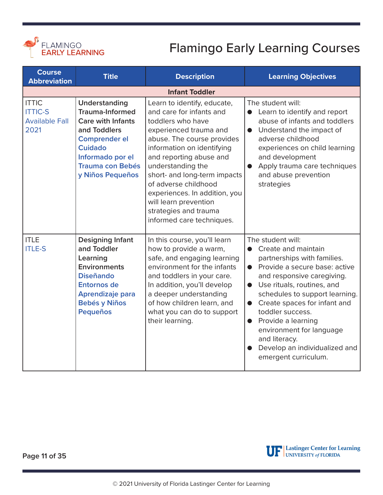<span id="page-10-0"></span>

| <b>Course</b><br><b>Abbreviation</b>                            | <b>Title</b>                                                                                                                                                                                     | <b>Description</b>                                                                                                                                                                                                                                                                                                                                                                         | <b>Learning Objectives</b>                                                                                                                                                                                                                                                                                                                                                                                                                 |
|-----------------------------------------------------------------|--------------------------------------------------------------------------------------------------------------------------------------------------------------------------------------------------|--------------------------------------------------------------------------------------------------------------------------------------------------------------------------------------------------------------------------------------------------------------------------------------------------------------------------------------------------------------------------------------------|--------------------------------------------------------------------------------------------------------------------------------------------------------------------------------------------------------------------------------------------------------------------------------------------------------------------------------------------------------------------------------------------------------------------------------------------|
|                                                                 |                                                                                                                                                                                                  | <b>Infant Toddler</b>                                                                                                                                                                                                                                                                                                                                                                      |                                                                                                                                                                                                                                                                                                                                                                                                                                            |
| <b>ITTIC</b><br><b>ITTIC-S</b><br><b>Available Fall</b><br>2021 | Understanding<br><b>Trauma-Informed</b><br><b>Care with Infants</b><br>and Toddlers<br><b>Comprender el</b><br><b>Cuidado</b><br>Informado por el<br><b>Trauma con Bebés</b><br>y Niños Pequeños | Learn to identify, educate,<br>and care for infants and<br>toddlers who have<br>experienced trauma and<br>abuse. The course provides<br>information on identifying<br>and reporting abuse and<br>understanding the<br>short- and long-term impacts<br>of adverse childhood<br>experiences. In addition, you<br>will learn prevention<br>strategies and trauma<br>informed care techniques. | The student will:<br>Learn to identify and report<br>$\bullet$<br>abuse of infants and toddlers<br>Understand the impact of<br>$\bullet$<br>adverse childhood<br>experiences on child learning<br>and development<br>Apply trauma care techniques<br>$\bullet$<br>and abuse prevention<br>strategies                                                                                                                                       |
| <b>ITLE</b><br><b>ITLE-S</b>                                    | <b>Designing Infant</b><br>and Toddler<br>Learning<br><b>Environments</b><br><b>Diseñando</b><br><b>Entornos de</b><br>Aprendizaje para<br><b>Bebés y Niños</b><br><b>Pequeños</b>               | In this course, you'll learn<br>how to provide a warm,<br>safe, and engaging learning<br>environment for the infants<br>and toddlers in your care.<br>In addition, you'll develop<br>a deeper understanding<br>of how children learn, and<br>what you can do to support<br>their learning.                                                                                                 | The student will:<br>Create and maintain<br>partnerships with families.<br>Provide a secure base: active<br>$\bullet$<br>and responsive caregiving.<br>Use rituals, routines, and<br>$\bullet$<br>schedules to support learning.<br>Create spaces for infant and<br>$\bullet$<br>toddler success.<br>Provide a learning<br>$\bullet$<br>environment for language<br>and literacy.<br>Develop an individualized and<br>emergent curriculum. |

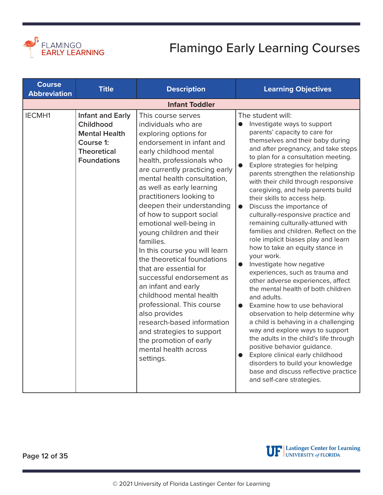<span id="page-11-0"></span>

| <b>Course</b><br><b>Abbreviation</b> | <b>Title</b>                                                                                                          | <b>Description</b>                                                                                                                                                                                                                                                                                                                                                                                                                                                                                                                                                                                                                                                                                                                                              | <b>Learning Objectives</b>                                                                                                                                                                                                                                                                                                                                                                                                                                                                                                                                                                                                                                                                                                                                                                                                                                                                                                                                                                                                                                                                                                                                                                                 |
|--------------------------------------|-----------------------------------------------------------------------------------------------------------------------|-----------------------------------------------------------------------------------------------------------------------------------------------------------------------------------------------------------------------------------------------------------------------------------------------------------------------------------------------------------------------------------------------------------------------------------------------------------------------------------------------------------------------------------------------------------------------------------------------------------------------------------------------------------------------------------------------------------------------------------------------------------------|------------------------------------------------------------------------------------------------------------------------------------------------------------------------------------------------------------------------------------------------------------------------------------------------------------------------------------------------------------------------------------------------------------------------------------------------------------------------------------------------------------------------------------------------------------------------------------------------------------------------------------------------------------------------------------------------------------------------------------------------------------------------------------------------------------------------------------------------------------------------------------------------------------------------------------------------------------------------------------------------------------------------------------------------------------------------------------------------------------------------------------------------------------------------------------------------------------|
|                                      |                                                                                                                       | <b>Infant Toddler</b>                                                                                                                                                                                                                                                                                                                                                                                                                                                                                                                                                                                                                                                                                                                                           |                                                                                                                                                                                                                                                                                                                                                                                                                                                                                                                                                                                                                                                                                                                                                                                                                                                                                                                                                                                                                                                                                                                                                                                                            |
| <b>IECMH1</b>                        | <b>Infant and Early</b><br>Childhood<br><b>Mental Health</b><br>Course 1:<br><b>Theoretical</b><br><b>Foundations</b> | This course serves<br>individuals who are<br>exploring options for<br>endorsement in infant and<br>early childhood mental<br>health, professionals who<br>are currently practicing early<br>mental health consultation,<br>as well as early learning<br>practitioners looking to<br>deepen their understanding<br>of how to support social<br>emotional well-being in<br>young children and their<br>families.<br>In this course you will learn<br>the theoretical foundations<br>that are essential for<br>successful endorsement as<br>an infant and early<br>childhood mental health<br>professional. This course<br>also provides<br>research-based information<br>and strategies to support<br>the promotion of early<br>mental health across<br>settings. | The student will:<br>Investigate ways to support<br>$\bullet$<br>parents' capacity to care for<br>themselves and their baby during<br>and after pregnancy, and take steps<br>to plan for a consultation meeting.<br>Explore strategies for helping<br>$\bullet$<br>parents strengthen the relationship<br>with their child through responsive<br>caregiving, and help parents build<br>their skills to access help.<br>Discuss the importance of<br>$\bullet$<br>culturally-responsive practice and<br>remaining culturally-attuned with<br>families and children. Reflect on the<br>role implicit biases play and learn<br>how to take an equity stance in<br>your work.<br>Investigate how negative<br>experiences, such as trauma and<br>other adverse experiences, affect<br>the mental health of both children<br>and adults.<br>Examine how to use behavioral<br>observation to help determine why<br>a child is behaving in a challenging<br>way and explore ways to support<br>the adults in the child's life through<br>positive behavior guidance.<br>Explore clinical early childhood<br>disorders to build your knowledge<br>base and discuss reflective practice<br>and self-care strategies. |

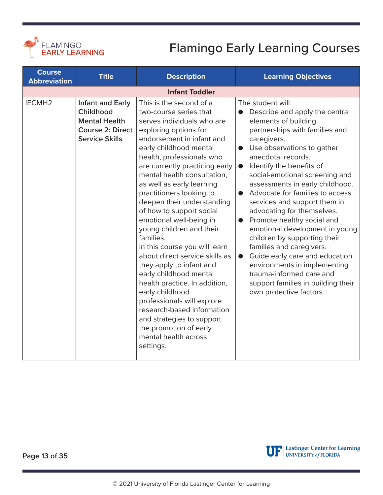<span id="page-12-0"></span>

| <b>Course</b><br><b>Abbreviation</b> | <b>Title</b>                                                                                                     | <b>Description</b>                                                                                                                                                                                                                                                                                                                                                                                                                                                                                                                                                                                                                                                                                                                                                                        | <b>Learning Objectives</b>                                                                                                                                                                                                                                                                                                                                                                                                                                                                                                                                                                                                                                                                                           |
|--------------------------------------|------------------------------------------------------------------------------------------------------------------|-------------------------------------------------------------------------------------------------------------------------------------------------------------------------------------------------------------------------------------------------------------------------------------------------------------------------------------------------------------------------------------------------------------------------------------------------------------------------------------------------------------------------------------------------------------------------------------------------------------------------------------------------------------------------------------------------------------------------------------------------------------------------------------------|----------------------------------------------------------------------------------------------------------------------------------------------------------------------------------------------------------------------------------------------------------------------------------------------------------------------------------------------------------------------------------------------------------------------------------------------------------------------------------------------------------------------------------------------------------------------------------------------------------------------------------------------------------------------------------------------------------------------|
|                                      |                                                                                                                  | <b>Infant Toddler</b>                                                                                                                                                                                                                                                                                                                                                                                                                                                                                                                                                                                                                                                                                                                                                                     |                                                                                                                                                                                                                                                                                                                                                                                                                                                                                                                                                                                                                                                                                                                      |
| IECMH <sub>2</sub>                   | <b>Infant and Early</b><br>Childhood<br><b>Mental Health</b><br><b>Course 2: Direct</b><br><b>Service Skills</b> | This is the second of a<br>two-course series that<br>serves individuals who are<br>exploring options for<br>endorsement in infant and<br>early childhood mental<br>health, professionals who<br>are currently practicing early<br>mental health consultation,<br>as well as early learning<br>practitioners looking to<br>deepen their understanding<br>of how to support social<br>emotional well-being in<br>young children and their<br>families.<br>In this course you will learn<br>about direct service skills as<br>they apply to infant and<br>early childhood mental<br>health practice. In addition,<br>early childhood<br>professionals will explore<br>research-based information<br>and strategies to support<br>the promotion of early<br>mental health across<br>settings. | The student will:<br>Describe and apply the central<br>elements of building<br>partnerships with families and<br>caregivers.<br>Use observations to gather<br>$\bullet$<br>anecdotal records.<br>Identify the benefits of<br>$\bullet$<br>social-emotional screening and<br>assessments in early childhood.<br>Advocate for families to access<br>services and support them in<br>advocating for themselves.<br>Promote healthy social and<br>emotional development in young<br>children by supporting their<br>families and caregivers.<br>Guide early care and education<br>$\bullet$<br>environments in implementing<br>trauma-informed care and<br>support families in building their<br>own protective factors. |



UP Lastinger Center for Learning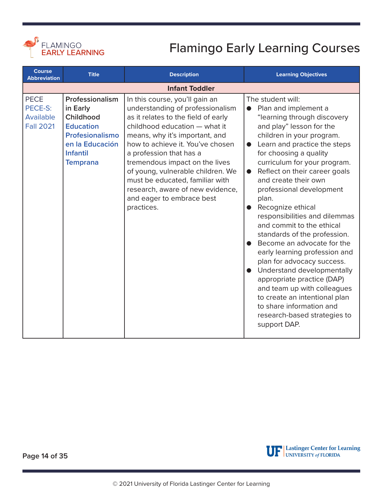<span id="page-13-0"></span>

| <b>Course</b><br><b>Abbreviation</b>                    | <b>Title</b>                                                                                                                             | <b>Description</b>                                                                                                                                                                                                                                                                                                                                                                                                                   | <b>Learning Objectives</b>                                                                                                                                                                                                                                                                                                                                                                                                                                                                                                                                                                                                                                                                                                                                                               |
|---------------------------------------------------------|------------------------------------------------------------------------------------------------------------------------------------------|--------------------------------------------------------------------------------------------------------------------------------------------------------------------------------------------------------------------------------------------------------------------------------------------------------------------------------------------------------------------------------------------------------------------------------------|------------------------------------------------------------------------------------------------------------------------------------------------------------------------------------------------------------------------------------------------------------------------------------------------------------------------------------------------------------------------------------------------------------------------------------------------------------------------------------------------------------------------------------------------------------------------------------------------------------------------------------------------------------------------------------------------------------------------------------------------------------------------------------------|
|                                                         |                                                                                                                                          | <b>Infant Toddler</b>                                                                                                                                                                                                                                                                                                                                                                                                                |                                                                                                                                                                                                                                                                                                                                                                                                                                                                                                                                                                                                                                                                                                                                                                                          |
| <b>PECE</b><br>PECE-S:<br>Available<br><b>Fall 2021</b> | Professionalism<br>in Early<br>Childhood<br><b>Education</b><br>Profesionalismo<br>en la Educación<br><b>Infantil</b><br><b>Temprana</b> | In this course, you'll gain an<br>understanding of professionalism<br>as it relates to the field of early<br>childhood education - what it<br>means, why it's important, and<br>how to achieve it. You've chosen<br>a profession that has a<br>tremendous impact on the lives<br>of young, vulnerable children. We<br>must be educated, familiar with<br>research, aware of new evidence,<br>and eager to embrace best<br>practices. | The student will:<br>Plan and implement a<br>$\bullet$<br>"learning through discovery<br>and play" lesson for the<br>children in your program.<br>Learn and practice the steps<br>$\bullet$<br>for choosing a quality<br>curriculum for your program.<br>Reflect on their career goals<br>$\bullet$<br>and create their own<br>professional development<br>plan.<br>Recognize ethical<br>responsibilities and dilemmas<br>and commit to the ethical<br>standards of the profession.<br>Become an advocate for the<br>early learning profession and<br>plan for advocacy success.<br>Understand developmentally<br>appropriate practice (DAP)<br>and team up with colleagues<br>to create an intentional plan<br>to share information and<br>research-based strategies to<br>support DAP. |



**Page 14 of 35**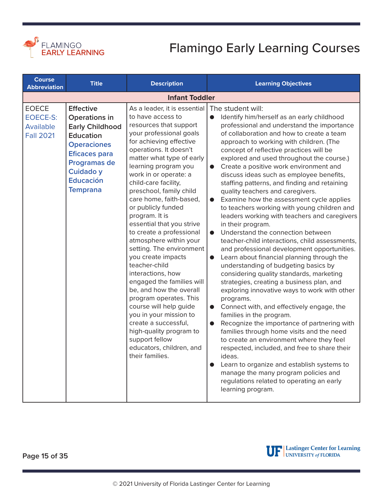<span id="page-14-0"></span>

| <b>Course</b><br><b>Abbreviation</b>                             | <b>Title</b>                                                                                                                                                                                             | <b>Description</b>                                                                                                                                                                                                                                                                                                                                                                                                                                                                                                                                                                                                                                                                                                                                                                                   | <b>Learning Objectives</b>                                                                                                                                                                                                                                                                                                                                                                                                                                                                                                                                                                                                                                                                                                                                                                                                                                                                                                                                                                                                                                                                                                                                                                                                                                                                                                                                                                                                                                                                                                                              |
|------------------------------------------------------------------|----------------------------------------------------------------------------------------------------------------------------------------------------------------------------------------------------------|------------------------------------------------------------------------------------------------------------------------------------------------------------------------------------------------------------------------------------------------------------------------------------------------------------------------------------------------------------------------------------------------------------------------------------------------------------------------------------------------------------------------------------------------------------------------------------------------------------------------------------------------------------------------------------------------------------------------------------------------------------------------------------------------------|---------------------------------------------------------------------------------------------------------------------------------------------------------------------------------------------------------------------------------------------------------------------------------------------------------------------------------------------------------------------------------------------------------------------------------------------------------------------------------------------------------------------------------------------------------------------------------------------------------------------------------------------------------------------------------------------------------------------------------------------------------------------------------------------------------------------------------------------------------------------------------------------------------------------------------------------------------------------------------------------------------------------------------------------------------------------------------------------------------------------------------------------------------------------------------------------------------------------------------------------------------------------------------------------------------------------------------------------------------------------------------------------------------------------------------------------------------------------------------------------------------------------------------------------------------|
|                                                                  |                                                                                                                                                                                                          | <b>Infant Toddler</b>                                                                                                                                                                                                                                                                                                                                                                                                                                                                                                                                                                                                                                                                                                                                                                                |                                                                                                                                                                                                                                                                                                                                                                                                                                                                                                                                                                                                                                                                                                                                                                                                                                                                                                                                                                                                                                                                                                                                                                                                                                                                                                                                                                                                                                                                                                                                                         |
| <b>EOECE</b><br><b>EOECE-S:</b><br>Available<br><b>Fall 2021</b> | <b>Effective</b><br>Operations in<br><b>Early Childhood</b><br><b>Education</b><br><b>Operaciones</b><br><b>Eficaces para</b><br>Programas de<br><b>Cuidado y</b><br><b>Educación</b><br><b>Temprana</b> | As a leader, it is essential<br>to have access to<br>resources that support<br>your professional goals<br>for achieving effective<br>operations. It doesn't<br>matter what type of early<br>learning program you<br>work in or operate: a<br>child-care facility,<br>preschool, family child<br>care home, faith-based,<br>or publicly funded<br>program. It is<br>essential that you strive<br>to create a professional<br>atmosphere within your<br>setting. The environment<br>you create impacts<br>teacher-child<br>interactions, how<br>engaged the families will<br>be, and how the overall<br>program operates. This<br>course will help guide<br>you in your mission to<br>create a successful,<br>high-quality program to<br>support fellow<br>educators, children, and<br>their families. | The student will:<br>Identify him/herself as an early childhood<br>$\bullet$<br>professional and understand the importance<br>of collaboration and how to create a team<br>approach to working with children. (The<br>concept of reflective practices will be<br>explored and used throughout the course.)<br>Create a positive work environment and<br>$\bullet$<br>discuss ideas such as employee benefits,<br>staffing patterns, and finding and retaining<br>quality teachers and caregivers.<br>Examine how the assessment cycle applies<br>$\bullet$<br>to teachers working with young children and<br>leaders working with teachers and caregivers<br>in their program.<br>Understand the connection between<br>$\bullet$<br>teacher-child interactions, child assessments,<br>and professional development opportunities.<br>Learn about financial planning through the<br>$\bullet$<br>understanding of budgeting basics by<br>considering quality standards, marketing<br>strategies, creating a business plan, and<br>exploring innovative ways to work with other<br>programs.<br>Connect with, and effectively engage, the<br>$\bullet$<br>families in the program.<br>Recognize the importance of partnering with<br>$\bullet$<br>families through home visits and the need<br>to create an environment where they feel<br>respected, included, and free to share their<br>ideas.<br>Learn to organize and establish systems to<br>manage the many program policies and<br>regulations related to operating an early<br>learning program. |

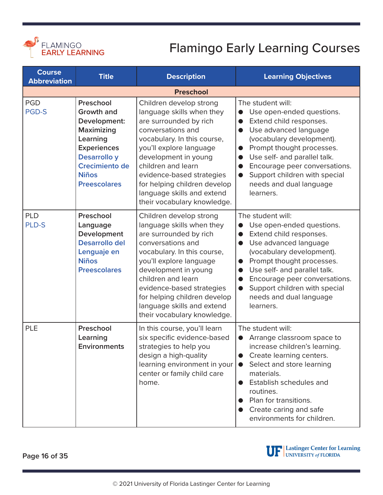<span id="page-15-0"></span>

| <b>Course</b><br><b>Abbreviation</b> | <b>Title</b>                                                                                                                                                            | <b>Description</b>                                                                                                                                                                                                                                                                                                                    | <b>Learning Objectives</b>                                                                                                                                                                                                                                                                                                                                                           |  |  |
|--------------------------------------|-------------------------------------------------------------------------------------------------------------------------------------------------------------------------|---------------------------------------------------------------------------------------------------------------------------------------------------------------------------------------------------------------------------------------------------------------------------------------------------------------------------------------|--------------------------------------------------------------------------------------------------------------------------------------------------------------------------------------------------------------------------------------------------------------------------------------------------------------------------------------------------------------------------------------|--|--|
|                                      | <b>Preschool</b>                                                                                                                                                        |                                                                                                                                                                                                                                                                                                                                       |                                                                                                                                                                                                                                                                                                                                                                                      |  |  |
| <b>PGD</b><br><b>PGD-S</b>           | Preschool<br><b>Growth and</b><br>Development:<br>Maximizing<br>Learning<br><b>Experiences</b><br>Desarrollo y<br>Crecimiento de<br><b>Niños</b><br><b>Preescolares</b> | Children develop strong<br>language skills when they<br>are surrounded by rich<br>conversations and<br>vocabulary. In this course,<br>you'll explore language<br>development in young<br>children and learn<br>evidence-based strategies<br>for helping children develop<br>language skills and extend<br>their vocabulary knowledge. | The student will:<br>Use open-ended questions.<br>Extend child responses.<br>$\bullet$<br>Use advanced language<br>$\bullet$<br>(vocabulary development).<br>Prompt thought processes.<br>$\bullet$<br>Use self- and parallel talk.<br>$\bullet$<br>Encourage peer conversations.<br>$\bullet$<br>Support children with special<br>$\bullet$<br>needs and dual language<br>learners. |  |  |
| <b>PLD</b><br><b>PLD-S</b>           | Preschool<br>Language<br>Development<br><b>Desarrollo del</b><br>Lenguaje en<br><b>Niños</b><br><b>Preescolares</b>                                                     | Children develop strong<br>language skills when they<br>are surrounded by rich<br>conversations and<br>vocabulary. In this course,<br>you'll explore language<br>development in young<br>children and learn<br>evidence-based strategies<br>for helping children develop<br>language skills and extend<br>their vocabulary knowledge. | The student will:<br>Use open-ended questions.<br>Extend child responses.<br>$\bullet$<br>Use advanced language<br>$\bullet$<br>(vocabulary development).<br>Prompt thought processes.<br>$\bullet$<br>Use self- and parallel talk.<br>$\bullet$<br>Encourage peer conversations.<br>$\bullet$<br>Support children with special<br>$\bullet$<br>needs and dual language<br>learners. |  |  |
| <b>PLE</b>                           | Preschool<br>Learning<br><b>Environments</b>                                                                                                                            | In this course, you'll learn<br>six specific evidence-based<br>strategies to help you<br>design a high-quality<br>learning environment in your<br>center or family child care<br>home.                                                                                                                                                | The student will:<br>Arrange classroom space to<br>increase children's learning.<br>Create learning centers.<br>Select and store learning<br>$\bullet$<br>materials.<br>Establish schedules and<br>routines.<br>Plan for transitions.<br>Create caring and safe<br>$\bullet$<br>environments for children.                                                                           |  |  |

**Page 16 of 35**

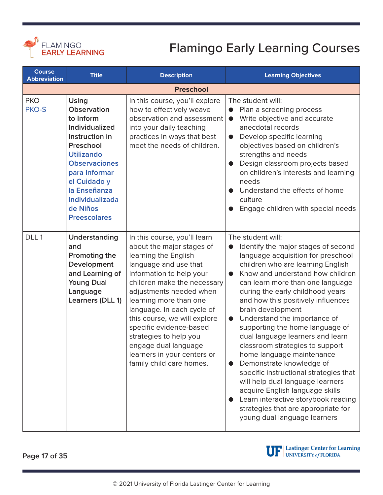<span id="page-16-0"></span>

| <b>Course</b><br><b>Abbreviation</b> | <b>Title</b>                                                                                                                                                                                                                                         | <b>Description</b>                                                                                                                                                                                                                                                                                                                                                                                                               | <b>Learning Objectives</b>                                                                                                                                                                                                                                                                                                                                                                                                                                                                                                                                                                                                                                                                                                                                                          |
|--------------------------------------|------------------------------------------------------------------------------------------------------------------------------------------------------------------------------------------------------------------------------------------------------|----------------------------------------------------------------------------------------------------------------------------------------------------------------------------------------------------------------------------------------------------------------------------------------------------------------------------------------------------------------------------------------------------------------------------------|-------------------------------------------------------------------------------------------------------------------------------------------------------------------------------------------------------------------------------------------------------------------------------------------------------------------------------------------------------------------------------------------------------------------------------------------------------------------------------------------------------------------------------------------------------------------------------------------------------------------------------------------------------------------------------------------------------------------------------------------------------------------------------------|
|                                      |                                                                                                                                                                                                                                                      | <b>Preschool</b>                                                                                                                                                                                                                                                                                                                                                                                                                 |                                                                                                                                                                                                                                                                                                                                                                                                                                                                                                                                                                                                                                                                                                                                                                                     |
| <b>PKO</b><br><b>PKO-S</b>           | <b>Using</b><br>Observation<br>to Inform<br>Individualized<br>Instruction in<br>Preschool<br><b>Utilizando</b><br><b>Observaciones</b><br>para Informar<br>el Cuidado y<br>la Enseñanza<br><b>Individualizada</b><br>de Niños<br><b>Preescolares</b> | In this course, you'll explore<br>how to effectively weave<br>observation and assessment<br>into your daily teaching<br>practices in ways that best<br>meet the needs of children.                                                                                                                                                                                                                                               | The student will:<br>Plan a screening process<br>$\bullet$<br>Write objective and accurate<br>$\bullet$<br>anecdotal records<br>Develop specific learning<br>$\bullet$<br>objectives based on children's<br>strengths and needs<br>Design classroom projects based<br>on children's interests and learning<br>needs<br>Understand the effects of home<br>culture<br>Engage children with special needs                                                                                                                                                                                                                                                                                                                                                                              |
| DLL1                                 | Understanding<br>and<br>Promoting the<br>Development<br>and Learning of<br><b>Young Dual</b><br>Language<br>Learners (DLL 1)                                                                                                                         | In this course, you'll learn<br>about the major stages of<br>learning the English<br>language and use that<br>information to help your<br>children make the necessary<br>adjustments needed when<br>learning more than one<br>language. In each cycle of<br>this course, we will explore<br>specific evidence-based<br>strategies to help you<br>engage dual language<br>learners in your centers or<br>family child care homes. | The student will:<br>Identify the major stages of second<br>language acquisition for preschool<br>children who are learning English<br>Know and understand how children<br>$\bullet$<br>can learn more than one language<br>during the early childhood years<br>and how this positively influences<br>brain development<br>Understand the importance of<br>$\bullet$<br>supporting the home language of<br>dual language learners and learn<br>classroom strategies to support<br>home language maintenance<br>Demonstrate knowledge of<br>$\bullet$<br>specific instructional strategies that<br>will help dual language learners<br>acquire English language skills<br>Learn interactive storybook reading<br>strategies that are appropriate for<br>young dual language learners |

**Page 17 of 35**

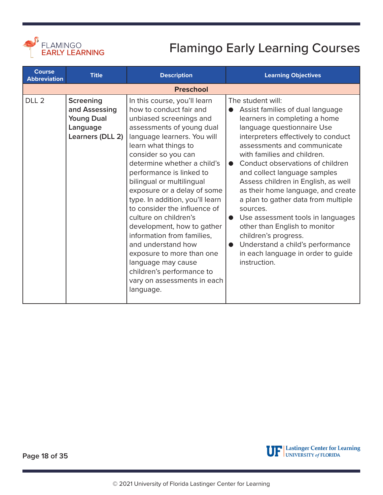<span id="page-17-0"></span>

| <b>Course</b><br><b>Abbreviation</b> | <b>Title</b>                                                                           | <b>Description</b>                                                                                                                                                                                                                                                                                                                                                                                                                                                                                                                                                                                                             | <b>Learning Objectives</b>                                                                                                                                                                                                                                                                                                                                                                                                                                                                                                                                                                                                                                   |
|--------------------------------------|----------------------------------------------------------------------------------------|--------------------------------------------------------------------------------------------------------------------------------------------------------------------------------------------------------------------------------------------------------------------------------------------------------------------------------------------------------------------------------------------------------------------------------------------------------------------------------------------------------------------------------------------------------------------------------------------------------------------------------|--------------------------------------------------------------------------------------------------------------------------------------------------------------------------------------------------------------------------------------------------------------------------------------------------------------------------------------------------------------------------------------------------------------------------------------------------------------------------------------------------------------------------------------------------------------------------------------------------------------------------------------------------------------|
|                                      |                                                                                        | <b>Preschool</b>                                                                                                                                                                                                                                                                                                                                                                                                                                                                                                                                                                                                               |                                                                                                                                                                                                                                                                                                                                                                                                                                                                                                                                                                                                                                                              |
| DLL <sub>2</sub>                     | <b>Screening</b><br>and Assessing<br><b>Young Dual</b><br>Language<br>Learners (DLL 2) | In this course, you'll learn<br>how to conduct fair and<br>unbiased screenings and<br>assessments of young dual<br>language learners. You will<br>learn what things to<br>consider so you can<br>determine whether a child's<br>performance is linked to<br>bilingual or multilingual<br>exposure or a delay of some<br>type. In addition, you'll learn<br>to consider the influence of<br>culture on children's<br>development, how to gather<br>information from families,<br>and understand how<br>exposure to more than one<br>language may cause<br>children's performance to<br>vary on assessments in each<br>language. | The student will:<br>Assist families of dual language<br>$\bullet$<br>learners in completing a home<br>language questionnaire Use<br>interpreters effectively to conduct<br>assessments and communicate<br>with families and children.<br>Conduct observations of children<br>$\bullet$<br>and collect language samples<br>Assess children in English, as well<br>as their home language, and create<br>a plan to gather data from multiple<br>sources.<br>Use assessment tools in languages<br>$\bullet$<br>other than English to monitor<br>children's progress.<br>Understand a child's performance<br>in each language in order to guide<br>instruction. |

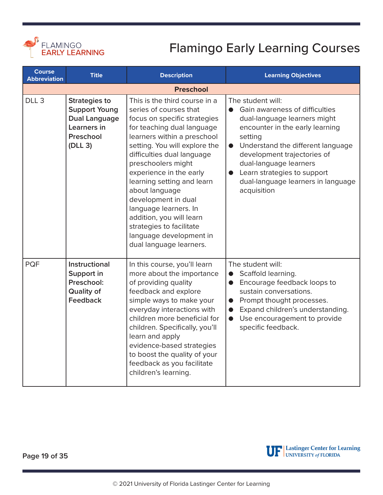<span id="page-18-0"></span>

| <b>Course</b><br><b>Abbreviation</b> | <b>Title</b>                                                                                                | <b>Description</b>                                                                                                                                                                                                                                                                                                                                                                                                                                                                 | <b>Learning Objectives</b>                                                                                                                                                                                                                                                                                                                      |
|--------------------------------------|-------------------------------------------------------------------------------------------------------------|------------------------------------------------------------------------------------------------------------------------------------------------------------------------------------------------------------------------------------------------------------------------------------------------------------------------------------------------------------------------------------------------------------------------------------------------------------------------------------|-------------------------------------------------------------------------------------------------------------------------------------------------------------------------------------------------------------------------------------------------------------------------------------------------------------------------------------------------|
|                                      |                                                                                                             | <b>Preschool</b>                                                                                                                                                                                                                                                                                                                                                                                                                                                                   |                                                                                                                                                                                                                                                                                                                                                 |
| DLL <sub>3</sub>                     | <b>Strategies to</b><br><b>Support Young</b><br><b>Dual Language</b><br>Learners in<br>Preschool<br>(DLL 3) | This is the third course in a<br>series of courses that<br>focus on specific strategies<br>for teaching dual language<br>learners within a preschool<br>setting. You will explore the<br>difficulties dual language<br>preschoolers might<br>experience in the early<br>learning setting and learn<br>about language<br>development in dual<br>language learners. In<br>addition, you will learn<br>strategies to facilitate<br>language development in<br>dual language learners. | The student will:<br>Gain awareness of difficulties<br>$\bullet$<br>dual-language learners might<br>encounter in the early learning<br>setting<br>Understand the different language<br>$\bullet$<br>development trajectories of<br>dual-language learners<br>• Learn strategies to support<br>dual-language learners in language<br>acquisition |
| <b>PQF</b>                           | <b>Instructional</b><br>Support in<br>Preschool:<br><b>Quality of</b><br>Feedback                           | In this course, you'll learn<br>more about the importance<br>of providing quality<br>feedback and explore<br>simple ways to make your<br>everyday interactions with<br>children more beneficial for<br>children. Specifically, you'll<br>learn and apply<br>evidence-based strategies<br>to boost the quality of your<br>feedback as you facilitate<br>children's learning.                                                                                                        | The student will:<br>Scaffold learning.<br>$\bullet$<br>• Encourage feedback loops to<br>sustain conversations.<br>• Prompt thought processes.<br>Expand children's understanding.<br>Use encouragement to provide<br>$\bullet$<br>specific feedback.                                                                                           |

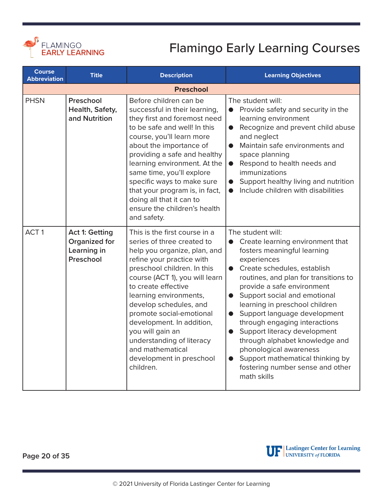<span id="page-19-0"></span>

| <b>Course</b><br><b>Abbreviation</b> | <b>Title</b>                                                       | <b>Description</b>                                                                                                                                                                                                                                                                                                                                                                                                                          | <b>Learning Objectives</b>                                                                                                                                                                                                                                                                                                                                                                                                                                                                                                                                                                         |
|--------------------------------------|--------------------------------------------------------------------|---------------------------------------------------------------------------------------------------------------------------------------------------------------------------------------------------------------------------------------------------------------------------------------------------------------------------------------------------------------------------------------------------------------------------------------------|----------------------------------------------------------------------------------------------------------------------------------------------------------------------------------------------------------------------------------------------------------------------------------------------------------------------------------------------------------------------------------------------------------------------------------------------------------------------------------------------------------------------------------------------------------------------------------------------------|
|                                      |                                                                    | <b>Preschool</b>                                                                                                                                                                                                                                                                                                                                                                                                                            |                                                                                                                                                                                                                                                                                                                                                                                                                                                                                                                                                                                                    |
| <b>PHSN</b>                          | Preschool<br>Health, Safety,<br>and Nutrition                      | Before children can be<br>successful in their learning,<br>they first and foremost need<br>to be safe and well! In this<br>course, you'll learn more<br>about the importance of<br>providing a safe and healthy<br>learning environment. At the<br>same time, you'll explore<br>specific ways to make sure<br>that your program is, in fact,<br>doing all that it can to<br>ensure the children's health<br>and safety.                     | The student will:<br>Provide safety and security in the<br>learning environment<br>Recognize and prevent child abuse<br>$\bullet$<br>and neglect<br>Maintain safe environments and<br>$\bullet$<br>space planning<br>Respond to health needs and<br>$\bullet$<br>immunizations<br>Support healthy living and nutrition<br>$\bullet$<br>Include children with disabilities<br>$\bullet$                                                                                                                                                                                                             |
| ACT <sub>1</sub>                     | <b>Act 1: Getting</b><br>Organized for<br>Learning in<br>Preschool | This is the first course in a<br>series of three created to<br>help you organize, plan, and<br>refine your practice with<br>preschool children. In this<br>course (ACT 1), you will learn<br>to create effective<br>learning environments,<br>develop schedules, and<br>promote social-emotional<br>development. In addition,<br>you will gain an<br>understanding of literacy<br>and mathematical<br>development in preschool<br>children. | The student will:<br>Create learning environment that<br>$\bullet$<br>fosters meaningful learning<br>experiences<br>• Create schedules, establish<br>routines, and plan for transitions to<br>provide a safe environment<br>Support social and emotional<br>$\bullet$<br>learning in preschool children<br>Support language development<br>$\bullet$<br>through engaging interactions<br>Support literacy development<br>$\bullet$<br>through alphabet knowledge and<br>phonological awareness<br>Support mathematical thinking by<br>$\bullet$<br>fostering number sense and other<br>math skills |

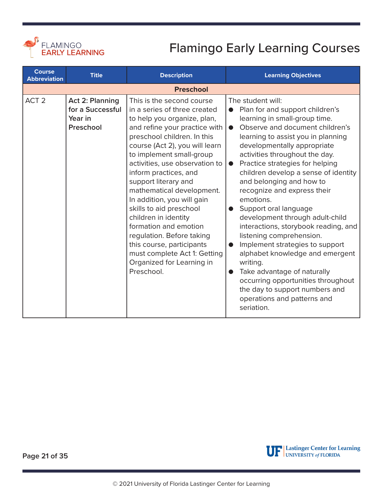<span id="page-20-0"></span>

| <b>Course</b><br><b>Abbreviation</b> | <b>Title</b>                                                       | <b>Description</b>                                                                                                                                                                                                                                                                                                                                                                                                                                                                                                                                                                    | <b>Learning Objectives</b>                                                                                                                                                                                                                                                                                                                                                                                                                                                                                                                                                                                                                                                                                                                                                                                                |
|--------------------------------------|--------------------------------------------------------------------|---------------------------------------------------------------------------------------------------------------------------------------------------------------------------------------------------------------------------------------------------------------------------------------------------------------------------------------------------------------------------------------------------------------------------------------------------------------------------------------------------------------------------------------------------------------------------------------|---------------------------------------------------------------------------------------------------------------------------------------------------------------------------------------------------------------------------------------------------------------------------------------------------------------------------------------------------------------------------------------------------------------------------------------------------------------------------------------------------------------------------------------------------------------------------------------------------------------------------------------------------------------------------------------------------------------------------------------------------------------------------------------------------------------------------|
|                                      |                                                                    | <b>Preschool</b>                                                                                                                                                                                                                                                                                                                                                                                                                                                                                                                                                                      |                                                                                                                                                                                                                                                                                                                                                                                                                                                                                                                                                                                                                                                                                                                                                                                                                           |
| ACT <sub>2</sub>                     | <b>Act 2: Planning</b><br>for a Successful<br>Year in<br>Preschool | This is the second course<br>in a series of three created<br>to help you organize, plan,<br>and refine your practice with<br>preschool children. In this<br>course (Act 2), you will learn<br>to implement small-group<br>activities, use observation to<br>inform practices, and<br>support literary and<br>mathematical development.<br>In addition, you will gain<br>skills to aid preschool<br>children in identity<br>formation and emotion<br>regulation. Before taking<br>this course, participants<br>must complete Act 1: Getting<br>Organized for Learning in<br>Preschool. | The student will:<br>Plan for and support children's<br>$\bullet$<br>learning in small-group time.<br>Observe and document children's<br>$\bullet$<br>learning to assist you in planning<br>developmentally appropriate<br>activities throughout the day.<br>Practice strategies for helping<br>$\bullet$<br>children develop a sense of identity<br>and belonging and how to<br>recognize and express their<br>emotions.<br>Support oral language<br>development through adult-child<br>interactions, storybook reading, and<br>listening comprehension.<br>Implement strategies to support<br>$\bullet$<br>alphabet knowledge and emergent<br>writing.<br>Take advantage of naturally<br>$\bullet$<br>occurring opportunities throughout<br>the day to support numbers and<br>operations and patterns and<br>seriation. |

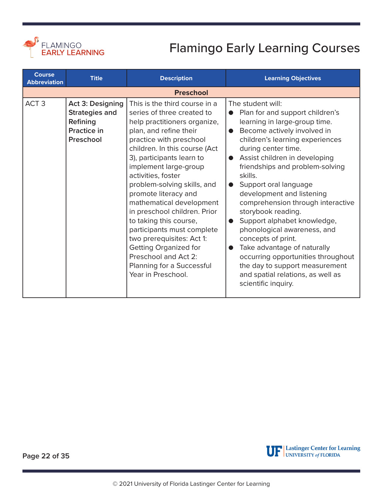<span id="page-21-0"></span>

| <b>Course</b><br><b>Abbreviation</b> | <b>Title</b>                                                                             | <b>Description</b>                                                                                                                                                                                                                                                                                                                                                                                                                                                                                                                                                               | <b>Learning Objectives</b>                                                                                                                                                                                                                                                                                                                                                                                                                                                                                                                                                                                                                                                                |
|--------------------------------------|------------------------------------------------------------------------------------------|----------------------------------------------------------------------------------------------------------------------------------------------------------------------------------------------------------------------------------------------------------------------------------------------------------------------------------------------------------------------------------------------------------------------------------------------------------------------------------------------------------------------------------------------------------------------------------|-------------------------------------------------------------------------------------------------------------------------------------------------------------------------------------------------------------------------------------------------------------------------------------------------------------------------------------------------------------------------------------------------------------------------------------------------------------------------------------------------------------------------------------------------------------------------------------------------------------------------------------------------------------------------------------------|
|                                      |                                                                                          | <b>Preschool</b>                                                                                                                                                                                                                                                                                                                                                                                                                                                                                                                                                                 |                                                                                                                                                                                                                                                                                                                                                                                                                                                                                                                                                                                                                                                                                           |
| ACT <sub>3</sub>                     | Act 3: Designing<br><b>Strategies and</b><br>Refining<br><b>Practice in</b><br>Preschool | This is the third course in a<br>series of three created to<br>help practitioners organize,<br>plan, and refine their<br>practice with preschool<br>children. In this course (Act<br>3), participants learn to<br>implement large-group<br>activities, foster<br>problem-solving skills, and<br>promote literacy and<br>mathematical development<br>in preschool children. Prior<br>to taking this course,<br>participants must complete<br>two prerequisites: Act 1:<br><b>Getting Organized for</b><br>Preschool and Act 2:<br>Planning for a Successful<br>Year in Preschool. | The student will:<br>Plan for and support children's<br>learning in large-group time.<br>Become actively involved in<br>$\bullet$<br>children's learning experiences<br>during center time.<br>Assist children in developing<br>$\bullet$<br>friendships and problem-solving<br>skills.<br>Support oral language<br>$\bullet$<br>development and listening<br>comprehension through interactive<br>storybook reading.<br>Support alphabet knowledge,<br>$\bullet$<br>phonological awareness, and<br>concepts of print.<br>Take advantage of naturally<br>occurring opportunities throughout<br>the day to support measurement<br>and spatial relations, as well as<br>scientific inquiry. |

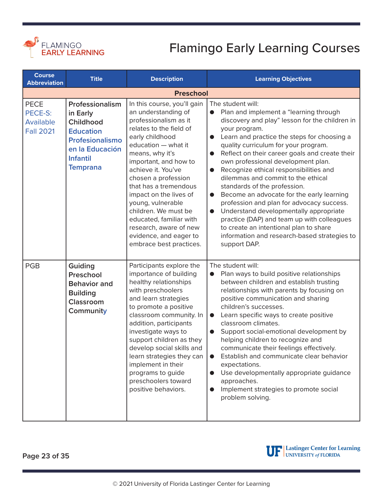<span id="page-22-0"></span>

| <b>Course</b><br><b>Abbreviation</b>                    | <b>Title</b>                                                                                                                             | <b>Description</b>                                                                                                                                                                                                                                                                                                                                                                                                                                  | <b>Learning Objectives</b>                                                                                                                                                                                                                                                                                                                                                                                                                                                                                                                                                                                                                                                                                                                                                                              |
|---------------------------------------------------------|------------------------------------------------------------------------------------------------------------------------------------------|-----------------------------------------------------------------------------------------------------------------------------------------------------------------------------------------------------------------------------------------------------------------------------------------------------------------------------------------------------------------------------------------------------------------------------------------------------|---------------------------------------------------------------------------------------------------------------------------------------------------------------------------------------------------------------------------------------------------------------------------------------------------------------------------------------------------------------------------------------------------------------------------------------------------------------------------------------------------------------------------------------------------------------------------------------------------------------------------------------------------------------------------------------------------------------------------------------------------------------------------------------------------------|
|                                                         |                                                                                                                                          | <b>Preschool</b>                                                                                                                                                                                                                                                                                                                                                                                                                                    |                                                                                                                                                                                                                                                                                                                                                                                                                                                                                                                                                                                                                                                                                                                                                                                                         |
| <b>PECE</b><br>PECE-S:<br>Available<br><b>Fall 2021</b> | Professionalism<br>in Early<br>Childhood<br><b>Education</b><br>Profesionalismo<br>en la Educación<br><b>Infantil</b><br><b>Temprana</b> | In this course, you'll gain<br>an understanding of<br>professionalism as it<br>relates to the field of<br>early childhood<br>education - what it<br>means, why it's<br>important, and how to<br>achieve it. You've<br>chosen a profession<br>that has a tremendous<br>impact on the lives of<br>young, vulnerable<br>children. We must be<br>educated, familiar with<br>research, aware of new<br>evidence, and eager to<br>embrace best practices. | The student will:<br>Plan and implement a "learning through<br>$\bullet$<br>discovery and play" lesson for the children in<br>your program.<br>Learn and practice the steps for choosing a<br>$\bullet$<br>quality curriculum for your program.<br>Reflect on their career goals and create their<br>$\bullet$<br>own professional development plan.<br>Recognize ethical responsibilities and<br>$\bullet$<br>dilemmas and commit to the ethical<br>standards of the profession.<br>Become an advocate for the early learning<br>$\bullet$<br>profession and plan for advocacy success.<br>Understand developmentally appropriate<br>$\bullet$<br>practice (DAP) and team up with colleagues<br>to create an intentional plan to share<br>information and research-based strategies to<br>support DAP. |
| <b>PGB</b>                                              | Guiding<br>Preschool<br><b>Behavior and</b><br><b>Building</b><br><b>Classroom</b><br>Community                                          | Participants explore the<br>importance of building<br>healthy relationships<br>with preschoolers<br>and learn strategies<br>to promote a positive<br>classroom community. In<br>addition, participants<br>investigate ways to<br>support children as they<br>develop social skills and<br>learn strategies they can<br>implement in their<br>programs to guide<br>preschoolers toward<br>positive behaviors.                                        | The student will:<br>Plan ways to build positive relationships<br>between children and establish trusting<br>relationships with parents by focusing on<br>positive communication and sharing<br>children's successes.<br>Learn specific ways to create positive<br>$\bullet$<br>classroom climates.<br>Support social-emotional development by<br>$\bullet$<br>helping children to recognize and<br>communicate their feelings effectively.<br>Establish and communicate clear behavior<br>expectations.<br>Use developmentally appropriate guidance<br>$\bullet$<br>approaches.<br>Implement strategies to promote social<br>$\bullet$<br>problem solving.                                                                                                                                             |

**Page 23 of 35**

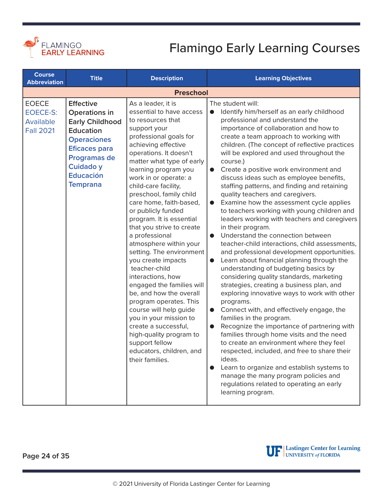<span id="page-23-0"></span>

| <b>Course</b><br><b>Abbreviation</b>                             | <b>Title</b>                                                                                                                                                                                             | <b>Description</b>                                                                                                                                                                                                                                                                                                                                                                                                                                                                                                                                                                                                                                                                                                                                                                                      | <b>Learning Objectives</b>                                                                                                                                                                                                                                                                                                                                                                                                                                                                                                                                                                                                                                                                                                                                                                                                                                                                                                                                                                                                                                                                                                                                                                                                                                                                                                                                                                                                                                                                                                                                 |
|------------------------------------------------------------------|----------------------------------------------------------------------------------------------------------------------------------------------------------------------------------------------------------|---------------------------------------------------------------------------------------------------------------------------------------------------------------------------------------------------------------------------------------------------------------------------------------------------------------------------------------------------------------------------------------------------------------------------------------------------------------------------------------------------------------------------------------------------------------------------------------------------------------------------------------------------------------------------------------------------------------------------------------------------------------------------------------------------------|------------------------------------------------------------------------------------------------------------------------------------------------------------------------------------------------------------------------------------------------------------------------------------------------------------------------------------------------------------------------------------------------------------------------------------------------------------------------------------------------------------------------------------------------------------------------------------------------------------------------------------------------------------------------------------------------------------------------------------------------------------------------------------------------------------------------------------------------------------------------------------------------------------------------------------------------------------------------------------------------------------------------------------------------------------------------------------------------------------------------------------------------------------------------------------------------------------------------------------------------------------------------------------------------------------------------------------------------------------------------------------------------------------------------------------------------------------------------------------------------------------------------------------------------------------|
|                                                                  |                                                                                                                                                                                                          | <b>Preschool</b>                                                                                                                                                                                                                                                                                                                                                                                                                                                                                                                                                                                                                                                                                                                                                                                        |                                                                                                                                                                                                                                                                                                                                                                                                                                                                                                                                                                                                                                                                                                                                                                                                                                                                                                                                                                                                                                                                                                                                                                                                                                                                                                                                                                                                                                                                                                                                                            |
| <b>EOECE</b><br><b>EOECE-S:</b><br>Available<br><b>Fall 2021</b> | <b>Effective</b><br>Operations in<br><b>Early Childhood</b><br><b>Education</b><br><b>Operaciones</b><br><b>Eficaces para</b><br>Programas de<br><b>Cuidado y</b><br><b>Educación</b><br><b>Temprana</b> | As a leader, it is<br>essential to have access<br>to resources that<br>support your<br>professional goals for<br>achieving effective<br>operations. It doesn't<br>matter what type of early<br>learning program you<br>work in or operate: a<br>child-care facility,<br>preschool, family child<br>care home, faith-based,<br>or publicly funded<br>program. It is essential<br>that you strive to create<br>a professional<br>atmosphere within your<br>setting. The environment<br>you create impacts<br>teacher-child<br>interactions, how<br>engaged the families will<br>be, and how the overall<br>program operates. This<br>course will help guide<br>you in your mission to<br>create a successful,<br>high-quality program to<br>support fellow<br>educators, children, and<br>their families. | The student will:<br>Identify him/herself as an early childhood<br>$\bullet$<br>professional and understand the<br>importance of collaboration and how to<br>create a team approach to working with<br>children. (The concept of reflective practices<br>will be explored and used throughout the<br>course.)<br>Create a positive work environment and<br>$\bullet$<br>discuss ideas such as employee benefits,<br>staffing patterns, and finding and retaining<br>quality teachers and caregivers.<br>Examine how the assessment cycle applies<br>$\bullet$<br>to teachers working with young children and<br>leaders working with teachers and caregivers<br>in their program.<br>Understand the connection between<br>$\bullet$<br>teacher-child interactions, child assessments,<br>and professional development opportunities.<br>Learn about financial planning through the<br>$\bullet$<br>understanding of budgeting basics by<br>considering quality standards, marketing<br>strategies, creating a business plan, and<br>exploring innovative ways to work with other<br>programs.<br>Connect with, and effectively engage, the<br>$\bullet$<br>families in the program.<br>Recognize the importance of partnering with<br>$\bullet$<br>families through home visits and the need<br>to create an environment where they feel<br>respected, included, and free to share their<br>ideas.<br>Learn to organize and establish systems to<br>manage the many program policies and<br>regulations related to operating an early<br>learning program. |

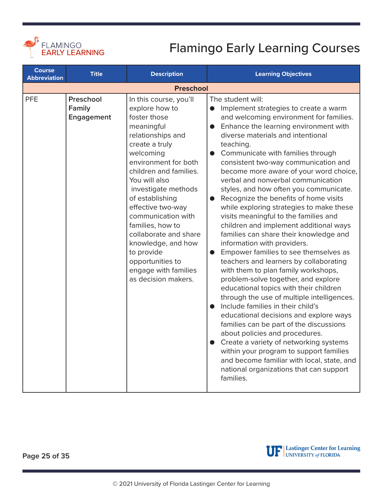<span id="page-24-0"></span>

| <b>Course</b><br><b>Abbreviation</b> | <b>Title</b>                      | <b>Description</b>                                                                                                                                                                                                                                                                                                                                                                                                                     | <b>Learning Objectives</b>                                                                                                                                                                                                                                                                                                                                                                                                                                                                                                                                                                                                                                                                                                                                                                                                                                                                                                                                                                                                                                                                                                                                                                                                                                                                                                   |
|--------------------------------------|-----------------------------------|----------------------------------------------------------------------------------------------------------------------------------------------------------------------------------------------------------------------------------------------------------------------------------------------------------------------------------------------------------------------------------------------------------------------------------------|------------------------------------------------------------------------------------------------------------------------------------------------------------------------------------------------------------------------------------------------------------------------------------------------------------------------------------------------------------------------------------------------------------------------------------------------------------------------------------------------------------------------------------------------------------------------------------------------------------------------------------------------------------------------------------------------------------------------------------------------------------------------------------------------------------------------------------------------------------------------------------------------------------------------------------------------------------------------------------------------------------------------------------------------------------------------------------------------------------------------------------------------------------------------------------------------------------------------------------------------------------------------------------------------------------------------------|
|                                      |                                   | <b>Preschool</b>                                                                                                                                                                                                                                                                                                                                                                                                                       |                                                                                                                                                                                                                                                                                                                                                                                                                                                                                                                                                                                                                                                                                                                                                                                                                                                                                                                                                                                                                                                                                                                                                                                                                                                                                                                              |
| <b>PFE</b>                           | Preschool<br>Family<br>Engagement | In this course, you'll<br>explore how to<br>foster those<br>meaningful<br>relationships and<br>create a truly<br>welcoming<br>environment for both<br>children and families.<br>You will also<br>investigate methods<br>of establishing<br>effective two-way<br>communication with<br>families, how to<br>collaborate and share<br>knowledge, and how<br>to provide<br>opportunities to<br>engage with families<br>as decision makers. | The student will:<br>Implement strategies to create a warm<br>$\bullet$<br>and welcoming environment for families.<br>Enhance the learning environment with<br>$\bullet$<br>diverse materials and intentional<br>teaching.<br>Communicate with families through<br>consistent two-way communication and<br>become more aware of your word choice,<br>verbal and nonverbal communication<br>styles, and how often you communicate.<br>Recognize the benefits of home visits<br>$\bullet$<br>while exploring strategies to make these<br>visits meaningful to the families and<br>children and implement additional ways<br>families can share their knowledge and<br>information with providers.<br>Empower families to see themselves as<br>teachers and learners by collaborating<br>with them to plan family workshops,<br>problem-solve together, and explore<br>educational topics with their children<br>through the use of multiple intelligences.<br>Include families in their child's<br>$\bullet$<br>educational decisions and explore ways<br>families can be part of the discussions<br>about policies and procedures.<br>Create a variety of networking systems<br>within your program to support families<br>and become familiar with local, state, and<br>national organizations that can support<br>families. |



**Page 25 of 35**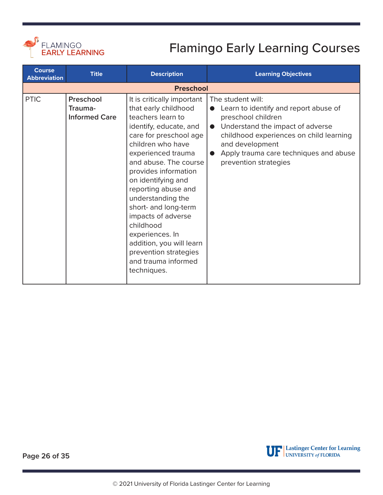<span id="page-25-0"></span>

| <b>Course</b><br><b>Abbreviation</b> | <b>Title</b>                                 | <b>Description</b>                                                                                                                                                                                                                                                                                                                                                                                                                                                 | <b>Learning Objectives</b>                                                                                                                                                                                                                                                      |
|--------------------------------------|----------------------------------------------|--------------------------------------------------------------------------------------------------------------------------------------------------------------------------------------------------------------------------------------------------------------------------------------------------------------------------------------------------------------------------------------------------------------------------------------------------------------------|---------------------------------------------------------------------------------------------------------------------------------------------------------------------------------------------------------------------------------------------------------------------------------|
|                                      |                                              | <b>Preschool</b>                                                                                                                                                                                                                                                                                                                                                                                                                                                   |                                                                                                                                                                                                                                                                                 |
| <b>PTIC</b>                          | Preschool<br>Trauma-<br><b>Informed Care</b> | It is critically important<br>that early childhood<br>teachers learn to<br>identify, educate, and<br>care for preschool age<br>children who have<br>experienced trauma<br>and abuse. The course<br>provides information<br>on identifying and<br>reporting abuse and<br>understanding the<br>short- and long-term<br>impacts of adverse<br>childhood<br>experiences. In<br>addition, you will learn<br>prevention strategies<br>and trauma informed<br>techniques. | The student will:<br>Learn to identify and report abuse of<br>preschool children<br>Understand the impact of adverse<br>$\bullet$<br>childhood experiences on child learning<br>and development<br>Apply trauma care techniques and abuse<br>$\bullet$<br>prevention strategies |

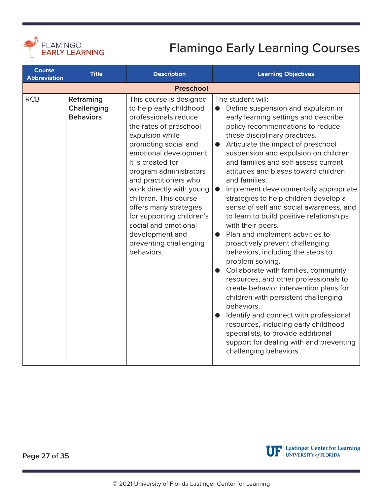<span id="page-26-0"></span>

| <b>Course</b><br><b>Abbreviation</b> | <b>Title</b>                                        | <b>Description</b>                                                                                                                                                                                                                                                                                                                                                                                                                               | <b>Learning Objectives</b>                                                                                                                                                                                                                                                                                                                                                                                                                                                                                                                                                                                                                                                                                                                                                                                                                                                                                                                                                                                                                                                                             |
|--------------------------------------|-----------------------------------------------------|--------------------------------------------------------------------------------------------------------------------------------------------------------------------------------------------------------------------------------------------------------------------------------------------------------------------------------------------------------------------------------------------------------------------------------------------------|--------------------------------------------------------------------------------------------------------------------------------------------------------------------------------------------------------------------------------------------------------------------------------------------------------------------------------------------------------------------------------------------------------------------------------------------------------------------------------------------------------------------------------------------------------------------------------------------------------------------------------------------------------------------------------------------------------------------------------------------------------------------------------------------------------------------------------------------------------------------------------------------------------------------------------------------------------------------------------------------------------------------------------------------------------------------------------------------------------|
|                                      |                                                     | <b>Preschool</b>                                                                                                                                                                                                                                                                                                                                                                                                                                 |                                                                                                                                                                                                                                                                                                                                                                                                                                                                                                                                                                                                                                                                                                                                                                                                                                                                                                                                                                                                                                                                                                        |
| <b>RCB</b>                           | Reframing<br><b>Challenging</b><br><b>Behaviors</b> | This course is designed<br>to help early childhood<br>professionals reduce<br>the rates of preschool<br>expulsion while<br>promoting social and<br>emotional development.<br>It is created for<br>program administrators<br>and practitioners who<br>work directly with young<br>children. This course<br>offers many strategies<br>for supporting children's<br>social and emotional<br>development and<br>preventing challenging<br>behaviors. | The student will:<br>Define suspension and expulsion in<br>$\bullet$<br>early learning settings and describe<br>policy recommendations to reduce<br>these disciplinary practices.<br>Articulate the impact of preschool<br>$\bullet$<br>suspension and expulsion on children<br>and families and self-assess current<br>attitudes and biases toward children<br>and families.<br>Implement developmentally appropriate<br>$\bullet$<br>strategies to help children develop a<br>sense of self and social awareness, and<br>to learn to build positive relationships<br>with their peers.<br>Plan and implement activities to<br>proactively prevent challenging<br>behaviors, including the steps to<br>problem solving.<br>Collaborate with families, community<br>resources, and other professionals to<br>create behavior intervention plans for<br>children with persistent challenging<br>behaviors.<br>Identify and connect with professional<br>resources, including early childhood<br>specialists, to provide additional<br>support for dealing with and preventing<br>challenging behaviors. |

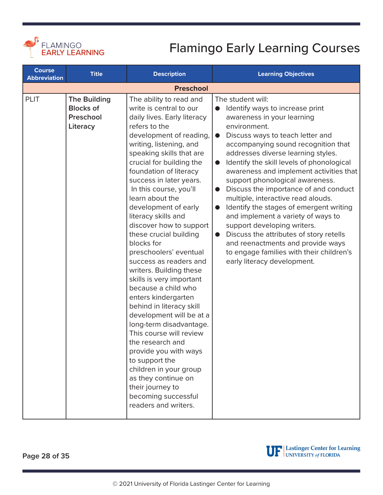<span id="page-27-0"></span>

| <b>Course</b><br><b>Abbreviation</b> | <b>Title</b>                                                     | <b>Description</b>                                                                                                                                                                                                                                                                                                                                                                                                                                                                                                                                                                                                                                                                                                                                                                                                                                                                             | <b>Learning Objectives</b>                                                                                                                                                                                                                                                                                                                                                                                                                                                                                                                                                                                                                                                                                                                                   |
|--------------------------------------|------------------------------------------------------------------|------------------------------------------------------------------------------------------------------------------------------------------------------------------------------------------------------------------------------------------------------------------------------------------------------------------------------------------------------------------------------------------------------------------------------------------------------------------------------------------------------------------------------------------------------------------------------------------------------------------------------------------------------------------------------------------------------------------------------------------------------------------------------------------------------------------------------------------------------------------------------------------------|--------------------------------------------------------------------------------------------------------------------------------------------------------------------------------------------------------------------------------------------------------------------------------------------------------------------------------------------------------------------------------------------------------------------------------------------------------------------------------------------------------------------------------------------------------------------------------------------------------------------------------------------------------------------------------------------------------------------------------------------------------------|
|                                      |                                                                  | <b>Preschool</b>                                                                                                                                                                                                                                                                                                                                                                                                                                                                                                                                                                                                                                                                                                                                                                                                                                                                               |                                                                                                                                                                                                                                                                                                                                                                                                                                                                                                                                                                                                                                                                                                                                                              |
| <b>PLIT</b>                          | <b>The Building</b><br><b>Blocks of</b><br>Preschool<br>Literacy | The ability to read and<br>write is central to our<br>daily lives. Early literacy<br>refers to the<br>development of reading,<br>writing, listening, and<br>speaking skills that are<br>crucial for building the<br>foundation of literacy<br>success in later years.<br>In this course, you'll<br>learn about the<br>development of early<br>literacy skills and<br>discover how to support<br>these crucial building<br>blocks for<br>preschoolers' eventual<br>success as readers and<br>writers. Building these<br>skills is very important<br>because a child who<br>enters kindergarten<br>behind in literacy skill<br>development will be at a<br>long-term disadvantage.<br>This course will review<br>the research and<br>provide you with ways<br>to support the<br>children in your group<br>as they continue on<br>their journey to<br>becoming successful<br>readers and writers. | The student will:<br>Identify ways to increase print<br>awareness in your learning<br>environment.<br>Discuss ways to teach letter and<br>$\bullet$<br>accompanying sound recognition that<br>addresses diverse learning styles.<br>Identify the skill levels of phonological<br>$\bullet$<br>awareness and implement activities that<br>support phonological awareness.<br>Discuss the importance of and conduct<br>$\bullet$<br>multiple, interactive read alouds.<br>Identify the stages of emergent writing<br>and implement a variety of ways to<br>support developing writers.<br>Discuss the attributes of story retells<br>$\bullet$<br>and reenactments and provide ways<br>to engage families with their children's<br>early literacy development. |

**Page 28 of 35**



UP Lastinger Center for Learning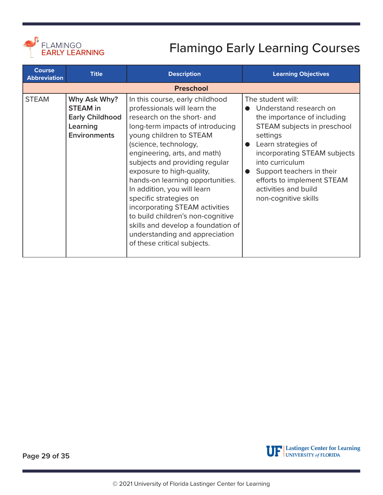<span id="page-28-0"></span>

| <b>Course</b><br><b>Abbreviation</b> | <b>Title</b>                                                                                 | <b>Description</b>                                                                                                                                                                                                                                                                                                                                                                                                                                                                                                                                              | <b>Learning Objectives</b>                                                                                                                                                                                                                                                                                 |  |  |
|--------------------------------------|----------------------------------------------------------------------------------------------|-----------------------------------------------------------------------------------------------------------------------------------------------------------------------------------------------------------------------------------------------------------------------------------------------------------------------------------------------------------------------------------------------------------------------------------------------------------------------------------------------------------------------------------------------------------------|------------------------------------------------------------------------------------------------------------------------------------------------------------------------------------------------------------------------------------------------------------------------------------------------------------|--|--|
|                                      | <b>Preschool</b>                                                                             |                                                                                                                                                                                                                                                                                                                                                                                                                                                                                                                                                                 |                                                                                                                                                                                                                                                                                                            |  |  |
| <b>STEAM</b>                         | Why Ask Why?<br><b>STEAM</b> in<br><b>Early Childhood</b><br>Learning<br><b>Environments</b> | In this course, early childhood<br>professionals will learn the<br>research on the short- and<br>long-term impacts of introducing<br>young children to STEAM<br>(science, technology,<br>engineering, arts, and math)<br>subjects and providing regular<br>exposure to high-quality,<br>hands-on learning opportunities.<br>In addition, you will learn<br>specific strategies on<br>incorporating STEAM activities<br>to build children's non-cognitive<br>skills and develop a foundation of<br>understanding and appreciation<br>of these critical subjects. | The student will:<br>Understand research on<br>the importance of including<br>STEAM subjects in preschool<br>settings<br>Learn strategies of<br>incorporating STEAM subjects<br>into curriculum<br>Support teachers in their<br>efforts to implement STEAM<br>activities and build<br>non-cognitive skills |  |  |

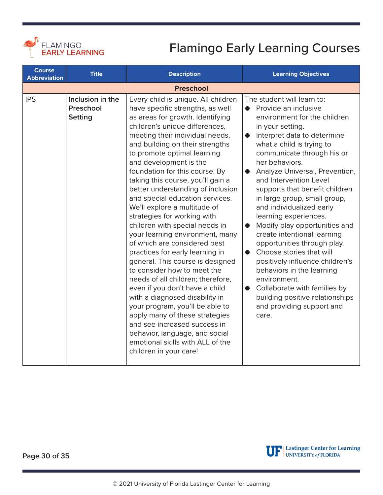<span id="page-29-0"></span>

| <b>Course</b><br><b>Abbreviation</b> | <b>Title</b>                                    | <b>Description</b>                                                                                                                                                                                                                                                                                                                                                                                                                                                                                                                                                                                                                                                                                                                                                                                                                                                                                                                                                                                                  | <b>Learning Objectives</b>                                                                                                                                                                                                                                                                                                                                                                                                                                                                                                                                                                                                                                                                                                                                                                   |  |  |
|--------------------------------------|-------------------------------------------------|---------------------------------------------------------------------------------------------------------------------------------------------------------------------------------------------------------------------------------------------------------------------------------------------------------------------------------------------------------------------------------------------------------------------------------------------------------------------------------------------------------------------------------------------------------------------------------------------------------------------------------------------------------------------------------------------------------------------------------------------------------------------------------------------------------------------------------------------------------------------------------------------------------------------------------------------------------------------------------------------------------------------|----------------------------------------------------------------------------------------------------------------------------------------------------------------------------------------------------------------------------------------------------------------------------------------------------------------------------------------------------------------------------------------------------------------------------------------------------------------------------------------------------------------------------------------------------------------------------------------------------------------------------------------------------------------------------------------------------------------------------------------------------------------------------------------------|--|--|
|                                      | <b>Preschool</b>                                |                                                                                                                                                                                                                                                                                                                                                                                                                                                                                                                                                                                                                                                                                                                                                                                                                                                                                                                                                                                                                     |                                                                                                                                                                                                                                                                                                                                                                                                                                                                                                                                                                                                                                                                                                                                                                                              |  |  |
| <b>IPS</b>                           | Inclusion in the<br>Preschool<br><b>Setting</b> | Every child is unique. All children<br>have specific strengths, as well<br>as areas for growth. Identifying<br>children's unique differences,<br>meeting their individual needs,<br>and building on their strengths<br>to promote optimal learning<br>and development is the<br>foundation for this course. By<br>taking this course, you'll gain a<br>better understanding of inclusion<br>and special education services.<br>We'll explore a multitude of<br>strategies for working with<br>children with special needs in<br>your learning environment, many<br>of which are considered best<br>practices for early learning in<br>general. This course is designed<br>to consider how to meet the<br>needs of all children; therefore,<br>even if you don't have a child<br>with a diagnosed disability in<br>your program, you'll be able to<br>apply many of these strategies<br>and see increased success in<br>behavior, language, and social<br>emotional skills with ALL of the<br>children in your care! | The student will learn to:<br>• Provide an inclusive<br>environment for the children<br>in your setting.<br>Interpret data to determine<br>$\bullet$<br>what a child is trying to<br>communicate through his or<br>her behaviors.<br>Analyze Universal, Prevention,<br>$\bullet$<br>and Intervention Level<br>supports that benefit children<br>in large group, small group,<br>and individualized early<br>learning experiences.<br>Modify play opportunities and<br>$\bullet$<br>create intentional learning<br>opportunities through play.<br>Choose stories that will<br>$\bullet$<br>positively influence children's<br>behaviors in the learning<br>environment.<br>Collaborate with families by<br>$\bullet$<br>building positive relationships<br>and providing support and<br>care. |  |  |

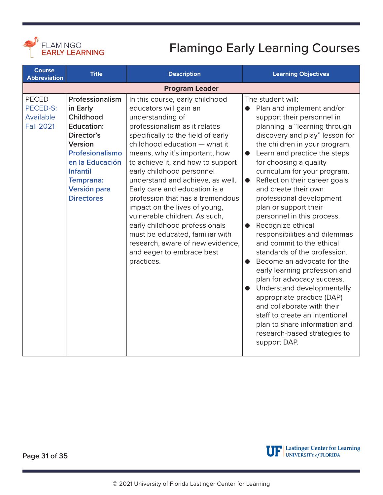<span id="page-30-0"></span>

| <b>Course</b><br><b>Abbreviation</b>                      | <b>Title</b>                                                                                                                                                                                             | <b>Description</b>                                                                                                                                                                                                                                                                                                                                                                                                                                                                                                                                                                                                      | <b>Learning Objectives</b>                                                                                                                                                                                                                                                                                                                                                                                                                                                                                                                                                                                                                                                                                                                                                                                                                                                                                                       |  |
|-----------------------------------------------------------|----------------------------------------------------------------------------------------------------------------------------------------------------------------------------------------------------------|-------------------------------------------------------------------------------------------------------------------------------------------------------------------------------------------------------------------------------------------------------------------------------------------------------------------------------------------------------------------------------------------------------------------------------------------------------------------------------------------------------------------------------------------------------------------------------------------------------------------------|----------------------------------------------------------------------------------------------------------------------------------------------------------------------------------------------------------------------------------------------------------------------------------------------------------------------------------------------------------------------------------------------------------------------------------------------------------------------------------------------------------------------------------------------------------------------------------------------------------------------------------------------------------------------------------------------------------------------------------------------------------------------------------------------------------------------------------------------------------------------------------------------------------------------------------|--|
|                                                           | <b>Program Leader</b>                                                                                                                                                                                    |                                                                                                                                                                                                                                                                                                                                                                                                                                                                                                                                                                                                                         |                                                                                                                                                                                                                                                                                                                                                                                                                                                                                                                                                                                                                                                                                                                                                                                                                                                                                                                                  |  |
| <b>PECED</b><br>PECED-S:<br>Available<br><b>Fall 2021</b> | Professionalism<br>in Early<br>Childhood<br><b>Education:</b><br>Director's<br>Version<br>Profesionalismo<br>en la Educación<br><b>Infantil</b><br><b>Temprana:</b><br>Versión para<br><b>Directores</b> | In this course, early childhood<br>educators will gain an<br>understanding of<br>professionalism as it relates<br>specifically to the field of early<br>childhood education - what it<br>means, why it's important, how<br>to achieve it, and how to support<br>early childhood personnel<br>understand and achieve, as well.<br>Early care and education is a<br>profession that has a tremendous<br>impact on the lives of young,<br>vulnerable children. As such,<br>early childhood professionals<br>must be educated, familiar with<br>research, aware of new evidence,<br>and eager to embrace best<br>practices. | The student will:<br>Plan and implement and/or<br>$\bullet$<br>support their personnel in<br>planning a "learning through<br>discovery and play" lesson for<br>the children in your program.<br>Learn and practice the steps<br>$\bullet$<br>for choosing a quality<br>curriculum for your program.<br>Reflect on their career goals<br>$\bullet$<br>and create their own<br>professional development<br>plan or support their<br>personnel in this process.<br>Recognize ethical<br>$\bullet$<br>responsibilities and dilemmas<br>and commit to the ethical<br>standards of the profession.<br>Become an advocate for the<br>$\bullet$<br>early learning profession and<br>plan for advocacy success.<br>Understand developmentally<br>$\bullet$<br>appropriate practice (DAP)<br>and collaborate with their<br>staff to create an intentional<br>plan to share information and<br>research-based strategies to<br>support DAP. |  |

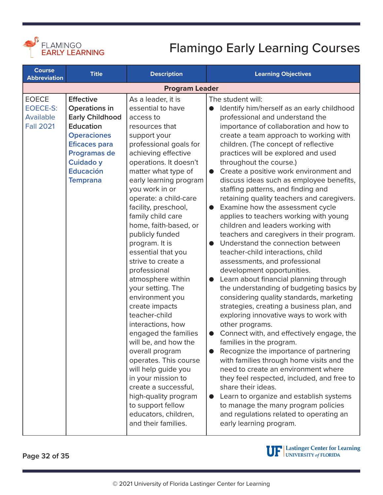<span id="page-31-0"></span>

| <b>Course</b><br><b>Abbreviation</b>                             | <b>Title</b>                                                                                                                                                                                                    | <b>Description</b>                                                                                                                                                                                                                                                                                                                                                                                                                                                                                                                                                                                                                                                                                                                                                                                                     | <b>Learning Objectives</b>                                                                                                                                                                                                                                                                                                                                                                                                                                                                                                                                                                                                                                                                                                                                                                                                                                                                                                                                                                                                                                                                                                                                                                                                                                                                                                                                                                                                                                                                   |
|------------------------------------------------------------------|-----------------------------------------------------------------------------------------------------------------------------------------------------------------------------------------------------------------|------------------------------------------------------------------------------------------------------------------------------------------------------------------------------------------------------------------------------------------------------------------------------------------------------------------------------------------------------------------------------------------------------------------------------------------------------------------------------------------------------------------------------------------------------------------------------------------------------------------------------------------------------------------------------------------------------------------------------------------------------------------------------------------------------------------------|----------------------------------------------------------------------------------------------------------------------------------------------------------------------------------------------------------------------------------------------------------------------------------------------------------------------------------------------------------------------------------------------------------------------------------------------------------------------------------------------------------------------------------------------------------------------------------------------------------------------------------------------------------------------------------------------------------------------------------------------------------------------------------------------------------------------------------------------------------------------------------------------------------------------------------------------------------------------------------------------------------------------------------------------------------------------------------------------------------------------------------------------------------------------------------------------------------------------------------------------------------------------------------------------------------------------------------------------------------------------------------------------------------------------------------------------------------------------------------------------|
| <b>Program Leader</b>                                            |                                                                                                                                                                                                                 |                                                                                                                                                                                                                                                                                                                                                                                                                                                                                                                                                                                                                                                                                                                                                                                                                        |                                                                                                                                                                                                                                                                                                                                                                                                                                                                                                                                                                                                                                                                                                                                                                                                                                                                                                                                                                                                                                                                                                                                                                                                                                                                                                                                                                                                                                                                                              |
| <b>EOECE</b><br><b>EOECE-S:</b><br>Available<br><b>Fall 2021</b> | <b>Effective</b><br><b>Operations in</b><br><b>Early Childhood</b><br><b>Education</b><br><b>Operaciones</b><br><b>Eficaces para</b><br>Programas de<br><b>Cuidado y</b><br><b>Educación</b><br><b>Temprana</b> | As a leader, it is<br>essential to have<br>access to<br>resources that<br>support your<br>professional goals for<br>achieving effective<br>operations. It doesn't<br>matter what type of<br>early learning program<br>you work in or<br>operate: a child-care<br>facility, preschool,<br>family child care<br>home, faith-based, or<br>publicly funded<br>program. It is<br>essential that you<br>strive to create a<br>professional<br>atmosphere within<br>your setting. The<br>environment you<br>create impacts<br>teacher-child<br>interactions, how<br>engaged the families<br>will be, and how the<br>overall program<br>operates. This course<br>will help guide you<br>in your mission to<br>create a successful,<br>high-quality program<br>to support fellow<br>educators, children,<br>and their families. | The student will:<br>Identify him/herself as an early childhood<br>professional and understand the<br>importance of collaboration and how to<br>create a team approach to working with<br>children. (The concept of reflective<br>practices will be explored and used<br>throughout the course.)<br>Create a positive work environment and<br>$\bullet$<br>discuss ideas such as employee benefits,<br>staffing patterns, and finding and<br>retaining quality teachers and caregivers.<br>Examine how the assessment cycle<br>$\bullet$<br>applies to teachers working with young<br>children and leaders working with<br>teachers and caregivers in their program.<br>Understand the connection between<br>teacher-child interactions, child<br>assessments, and professional<br>development opportunities.<br>Learn about financial planning through<br>the understanding of budgeting basics by<br>considering quality standards, marketing<br>strategies, creating a business plan, and<br>exploring innovative ways to work with<br>other programs.<br>Connect with, and effectively engage, the<br>families in the program.<br>Recognize the importance of partnering<br>with families through home visits and the<br>need to create an environment where<br>they feel respected, included, and free to<br>share their ideas.<br>Learn to organize and establish systems<br>to manage the many program policies<br>and regulations related to operating an<br>early learning program. |

**Page 32 of 35**

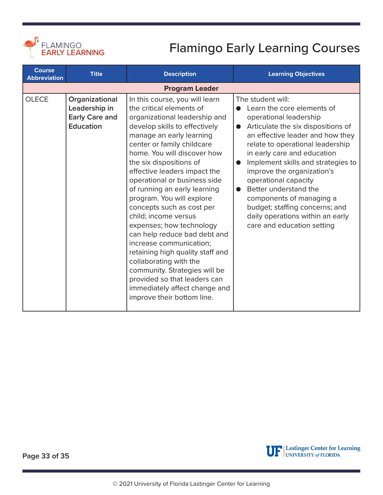<span id="page-32-0"></span>

| <b>Course</b><br><b>Abbreviation</b> | <b>Title</b>                                                                 | <b>Description</b>                                                                                                                                                                                                                                                                                                                                                                                                                                                                                                                                                                                                                                                                                                      | <b>Learning Objectives</b>                                                                                                                                                                                                                                                                                                                                                                                                                                                                                         |
|--------------------------------------|------------------------------------------------------------------------------|-------------------------------------------------------------------------------------------------------------------------------------------------------------------------------------------------------------------------------------------------------------------------------------------------------------------------------------------------------------------------------------------------------------------------------------------------------------------------------------------------------------------------------------------------------------------------------------------------------------------------------------------------------------------------------------------------------------------------|--------------------------------------------------------------------------------------------------------------------------------------------------------------------------------------------------------------------------------------------------------------------------------------------------------------------------------------------------------------------------------------------------------------------------------------------------------------------------------------------------------------------|
|                                      |                                                                              | <b>Program Leader</b>                                                                                                                                                                                                                                                                                                                                                                                                                                                                                                                                                                                                                                                                                                   |                                                                                                                                                                                                                                                                                                                                                                                                                                                                                                                    |
| <b>OLECE</b>                         | Organizational<br>Leadership in<br><b>Early Care and</b><br><b>Education</b> | In this course, you will learn<br>the critical elements of<br>organizational leadership and<br>develop skills to effectively<br>manage an early learning<br>center or family childcare<br>home. You will discover how<br>the six dispositions of<br>effective leaders impact the<br>operational or business side<br>of running an early learning<br>program. You will explore<br>concepts such as cost per<br>child; income versus<br>expenses; how technology<br>can help reduce bad debt and<br>increase communication;<br>retaining high quality staff and<br>collaborating with the<br>community. Strategies will be<br>provided so that leaders can<br>immediately affect change and<br>improve their bottom line. | The student will:<br>Learn the core elements of<br>operational leadership<br>Articulate the six dispositions of<br>$\bullet$<br>an effective leader and how they<br>relate to operational leadership<br>in early care and education<br>Implement skills and strategies to<br>$\bullet$<br>improve the organization's<br>operational capacity<br>Better understand the<br>$\bullet$<br>components of managing a<br>budget; staffing concerns; and<br>daily operations within an early<br>care and education setting |

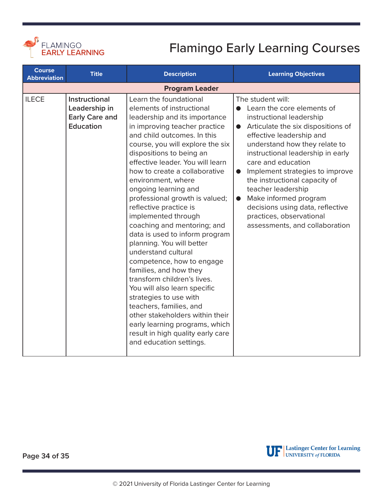<span id="page-33-0"></span>

| <b>Course</b><br><b>Abbreviation</b> | <b>Title</b>                                                                | <b>Description</b>                                                                                                                                                                                                                                                                                                                                                                                                                                                                                                                                                                                                                                                                                                                                                                                                                                              | <b>Learning Objectives</b>                                                                                                                                                                                                                                                                                                                                                                                                                                                                            |  |  |
|--------------------------------------|-----------------------------------------------------------------------------|-----------------------------------------------------------------------------------------------------------------------------------------------------------------------------------------------------------------------------------------------------------------------------------------------------------------------------------------------------------------------------------------------------------------------------------------------------------------------------------------------------------------------------------------------------------------------------------------------------------------------------------------------------------------------------------------------------------------------------------------------------------------------------------------------------------------------------------------------------------------|-------------------------------------------------------------------------------------------------------------------------------------------------------------------------------------------------------------------------------------------------------------------------------------------------------------------------------------------------------------------------------------------------------------------------------------------------------------------------------------------------------|--|--|
|                                      | <b>Program Leader</b>                                                       |                                                                                                                                                                                                                                                                                                                                                                                                                                                                                                                                                                                                                                                                                                                                                                                                                                                                 |                                                                                                                                                                                                                                                                                                                                                                                                                                                                                                       |  |  |
| <b>ILECE</b>                         | Instructional<br>Leadership in<br><b>Early Care and</b><br><b>Education</b> | Learn the foundational<br>elements of instructional<br>leadership and its importance<br>in improving teacher practice<br>and child outcomes. In this<br>course, you will explore the six<br>dispositions to being an<br>effective leader. You will learn<br>how to create a collaborative<br>environment, where<br>ongoing learning and<br>professional growth is valued;<br>reflective practice is<br>implemented through<br>coaching and mentoring; and<br>data is used to inform program<br>planning. You will better<br>understand cultural<br>competence, how to engage<br>families, and how they<br>transform children's lives.<br>You will also learn specific<br>strategies to use with<br>teachers, families, and<br>other stakeholders within their<br>early learning programs, which<br>result in high quality early care<br>and education settings. | The student will:<br>Learn the core elements of<br>instructional leadership<br>Articulate the six dispositions of<br>$\bullet$<br>effective leadership and<br>understand how they relate to<br>instructional leadership in early<br>care and education<br>Implement strategies to improve<br>$\bullet$<br>the instructional capacity of<br>teacher leadership<br>Make informed program<br>$\bullet$<br>decisions using data, reflective<br>practices, observational<br>assessments, and collaboration |  |  |



**Page 34 of 35**